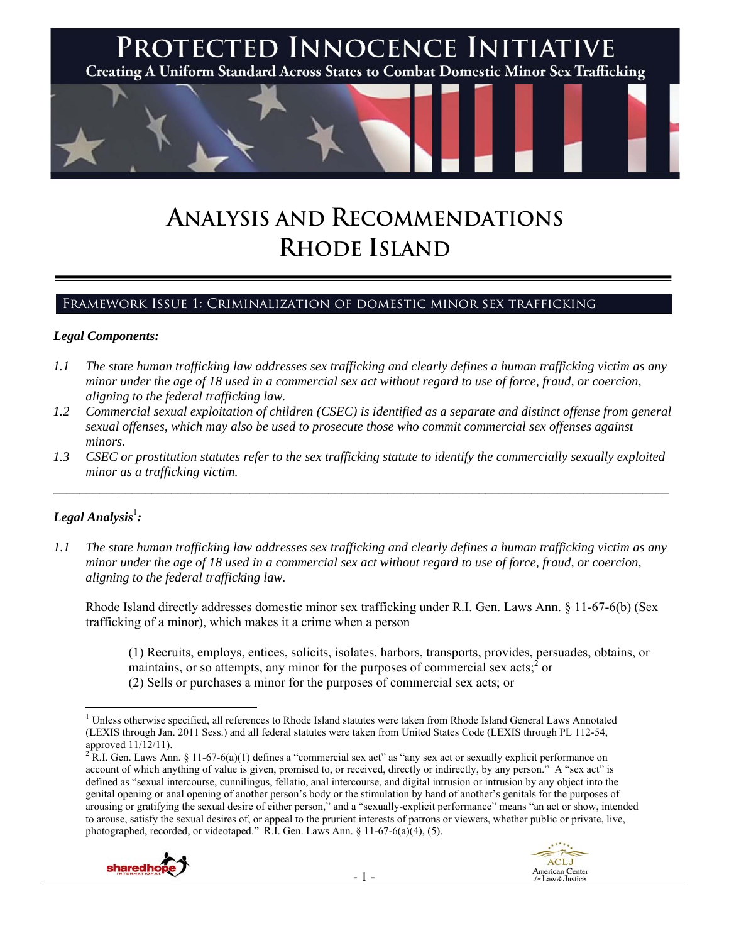

# **ANALYSIS AND RECOMMENDATIONS RHODE ISLAND**

# Framework Issue 1: Criminalization of domestic minor sex trafficking

#### *Legal Components:*

- *1.1 The state human trafficking law addresses sex trafficking and clearly defines a human trafficking victim as any minor under the age of 18 used in a commercial sex act without regard to use of force, fraud, or coercion, aligning to the federal trafficking law.*
- *1.2 Commercial sexual exploitation of children (CSEC) is identified as a separate and distinct offense from general sexual offenses, which may also be used to prosecute those who commit commercial sex offenses against minors.*
- *1.3 CSEC or prostitution statutes refer to the sex trafficking statute to identify the commercially sexually exploited minor as a trafficking victim.*   $\mathcal{L}_\mathcal{L} = \{ \mathcal{L}_\mathcal{L} = \{ \mathcal{L}_\mathcal{L} = \{ \mathcal{L}_\mathcal{L} = \{ \mathcal{L}_\mathcal{L} = \{ \mathcal{L}_\mathcal{L} = \{ \mathcal{L}_\mathcal{L} = \{ \mathcal{L}_\mathcal{L} = \{ \mathcal{L}_\mathcal{L} = \{ \mathcal{L}_\mathcal{L} = \{ \mathcal{L}_\mathcal{L} = \{ \mathcal{L}_\mathcal{L} = \{ \mathcal{L}_\mathcal{L} = \{ \mathcal{L}_\mathcal{L} = \{ \mathcal{L}_\mathcal{$

# $\bm{L}$ egal Analysis $^{\rm l}$ :

*1.1 The state human trafficking law addresses sex trafficking and clearly defines a human trafficking victim as any minor under the age of 18 used in a commercial sex act without regard to use of force, fraud, or coercion, aligning to the federal trafficking law.*

Rhode Island directly addresses domestic minor sex trafficking under R.I. Gen. Laws Ann. § 11-67-6(b) (Sex trafficking of a minor), which makes it a crime when a person

(1) Recruits, employs, entices, solicits, isolates, harbors, transports, provides, persuades, obtains, or maintains, or so attempts, any minor for the purposes of commercial sex acts; $\hat{i}$  or (2) Sells or purchases a minor for the purposes of commercial sex acts; or

<sup>&</sup>lt;sup>2</sup> R.I. Gen. Laws Ann. § 11-67-6(a)(1) defines a "commercial sex act" as "any sex act or sexually explicit performance on account of which anything of value is given, promised to, or received, directly or indirectly, by any person." A "sex act" is defined as "sexual intercourse, cunnilingus, fellatio, anal intercourse, and digital intrusion or intrusion by any object into the genital opening or anal opening of another person's body or the stimulation by hand of another's genitals for the purposes of arousing or gratifying the sexual desire of either person," and a "sexually-explicit performance" means "an act or show, intended to arouse, satisfy the sexual desires of, or appeal to the prurient interests of patrons or viewers, whether public or private, live, photographed, recorded, or videotaped." R.I. Gen. Laws Ann. § 11-67-6(a)(4), (5).



<sup>&</sup>lt;sup>1</sup> Unless otherwise specified, all references to Rhode Island statutes were taken from Rhode Island General Laws Annotated (LEXIS through Jan. 2011 Sess.) and all federal statutes were taken from United States Code (LEXIS through PL 112-54, approved 11/12/11).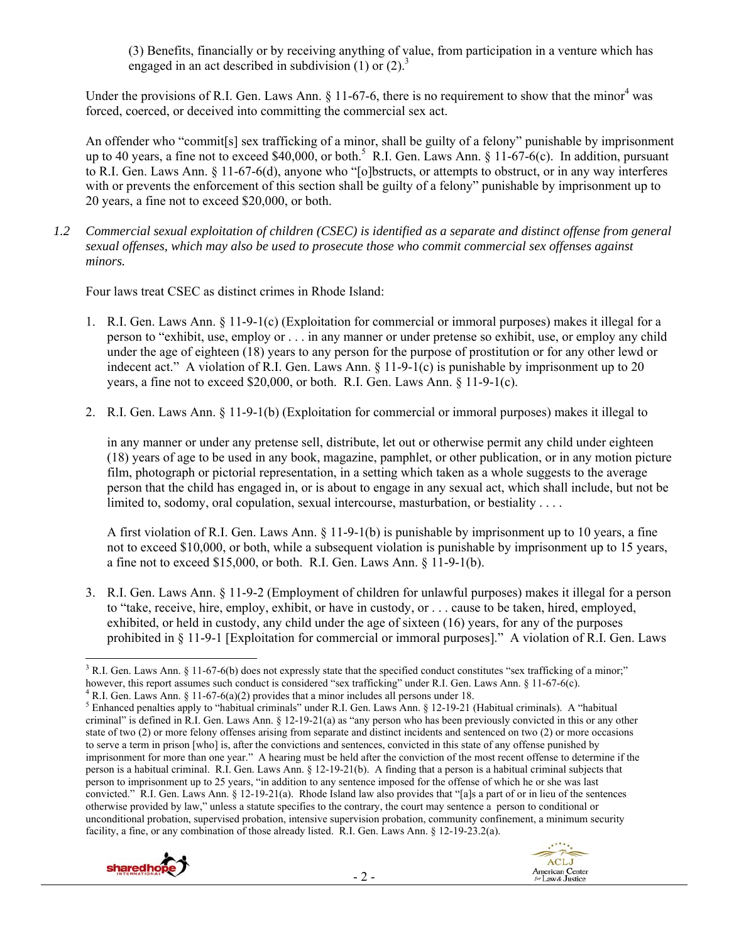(3) Benefits, financially or by receiving anything of value, from participation in a venture which has engaged in an act described in subdivision  $(1)$  or  $(2)$ .<sup>3</sup>

Under the provisions of R.I. Gen. Laws Ann.  $\S$  11-67-6, there is no requirement to show that the minor<sup>4</sup> was forced, coerced, or deceived into committing the commercial sex act.

An offender who "commit[s] sex trafficking of a minor, shall be guilty of a felony" punishable by imprisonment up to 40 years, a fine not to exceed \$40,000, or both.<sup>5</sup> R.I. Gen. Laws Ann. § 11-67-6(c). In addition, pursuant to R.I. Gen. Laws Ann. § 11-67-6(d), anyone who "[o]bstructs, or attempts to obstruct, or in any way interferes with or prevents the enforcement of this section shall be guilty of a felony" punishable by imprisonment up to 20 years, a fine not to exceed \$20,000, or both.

*1.2 Commercial sexual exploitation of children (CSEC) is identified as a separate and distinct offense from general sexual offenses, which may also be used to prosecute those who commit commercial sex offenses against minors.*

Four laws treat CSEC as distinct crimes in Rhode Island:

- 1. R.I. Gen. Laws Ann. § 11-9-1(c) (Exploitation for commercial or immoral purposes) makes it illegal for a person to "exhibit, use, employ or . . . in any manner or under pretense so exhibit, use, or employ any child under the age of eighteen (18) years to any person for the purpose of prostitution or for any other lewd or indecent act." A violation of R.I. Gen. Laws Ann. § 11-9-1(c) is punishable by imprisonment up to 20 years, a fine not to exceed \$20,000, or both. R.I. Gen. Laws Ann. § 11-9-1(c).
- 2. R.I. Gen. Laws Ann. § 11-9-1(b) (Exploitation for commercial or immoral purposes) makes it illegal to

in any manner or under any pretense sell, distribute, let out or otherwise permit any child under eighteen (18) years of age to be used in any book, magazine, pamphlet, or other publication, or in any motion picture film, photograph or pictorial representation, in a setting which taken as a whole suggests to the average person that the child has engaged in, or is about to engage in any sexual act, which shall include, but not be limited to, sodomy, oral copulation, sexual intercourse, masturbation, or bestiality . . . .

A first violation of R.I. Gen. Laws Ann. § 11-9-1(b) is punishable by imprisonment up to 10 years, a fine not to exceed \$10,000, or both, while a subsequent violation is punishable by imprisonment up to 15 years, a fine not to exceed \$15,000, or both. R.I. Gen. Laws Ann. § 11-9-1(b).

3. R.I. Gen. Laws Ann. § 11-9-2 (Employment of children for unlawful purposes) makes it illegal for a person to "take, receive, hire, employ, exhibit, or have in custody, or . . . cause to be taken, hired, employed, exhibited, or held in custody, any child under the age of sixteen (16) years, for any of the purposes prohibited in § 11-9-1 [Exploitation for commercial or immoral purposes]." A violation of R.I. Gen. Laws

<sup>4</sup> R.I. Gen. Laws Ann. § 11-67-6(a)(2) provides that a minor includes all persons under 18.

<sup>&</sup>lt;sup>5</sup> Enhanced penalties apply to "habitual criminals" under R.I. Gen. Laws Ann. § 12-19-21 (Habitual criminals). A "habitual criminal" is defined in R.I. Gen. Laws Ann. § 12-19-21(a) as "any person who has been previously convicted in this or any other state of two (2) or more felony offenses arising from separate and distinct incidents and sentenced on two (2) or more occasions to serve a term in prison [who] is, after the convictions and sentences, convicted in this state of any offense punished by imprisonment for more than one year." A hearing must be held after the conviction of the most recent offense to determine if the person is a habitual criminal. R.I. Gen. Laws Ann. § 12-19-21(b). A finding that a person is a habitual criminal subjects that person to imprisonment up to 25 years, "in addition to any sentence imposed for the offense of which he or she was last convicted." R.I. Gen. Laws Ann. § 12-19-21(a). Rhode Island law also provides that "[a]s a part of or in lieu of the sentences otherwise provided by law," unless a statute specifies to the contrary, the court may sentence a person to conditional or unconditional probation, supervised probation, intensive supervision probation, community confinement, a minimum security facility, a fine, or any combination of those already listed. R.I. Gen. Laws Ann. § 12-19-23.2(a).



 <sup>3</sup> R.I. Gen. Laws Ann. § 11-67-6(b) does not expressly state that the specified conduct constitutes "sex trafficking of a minor;" however, this report assumes such conduct is considered "sex trafficking" under R.I. Gen. Laws Ann. § 11-67-6(c).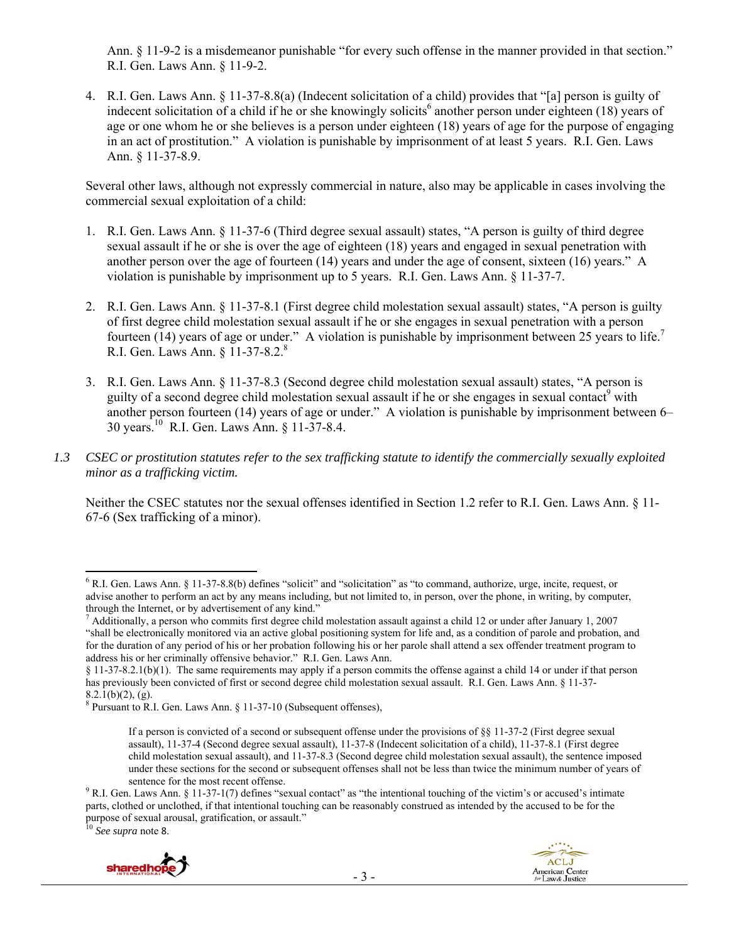Ann. § 11-9-2 is a misdemeanor punishable "for every such offense in the manner provided in that section." R.I. Gen. Laws Ann. § 11-9-2.

4. R.I. Gen. Laws Ann. § 11-37-8.8(a) (Indecent solicitation of a child) provides that "[a] person is guilty of indecent solicitation of a child if he or she knowingly solicits<sup>6</sup> another person under eighteen (18) years of age or one whom he or she believes is a person under eighteen (18) years of age for the purpose of engaging in an act of prostitution." A violation is punishable by imprisonment of at least 5 years. R.I. Gen. Laws Ann. § 11-37-8.9.

Several other laws, although not expressly commercial in nature, also may be applicable in cases involving the commercial sexual exploitation of a child:

- 1. R.I. Gen. Laws Ann. § 11-37-6 (Third degree sexual assault) states, "A person is guilty of third degree sexual assault if he or she is over the age of eighteen (18) years and engaged in sexual penetration with another person over the age of fourteen (14) years and under the age of consent, sixteen (16) years." A violation is punishable by imprisonment up to 5 years. R.I. Gen. Laws Ann. § 11-37-7.
- 2. R.I. Gen. Laws Ann. § 11-37-8.1 (First degree child molestation sexual assault) states, "A person is guilty of first degree child molestation sexual assault if he or she engages in sexual penetration with a person fourteen (14) years of age or under." A violation is punishable by imprisonment between 25 years to life.<sup>7</sup> R.I. Gen. Laws Ann. § 11-37-8.2.8
- 3. R.I. Gen. Laws Ann. § 11-37-8.3 (Second degree child molestation sexual assault) states, "A person is guilty of a second degree child molestation sexual assault if he or she engages in sexual contact<sup>9</sup> with another person fourteen (14) years of age or under." A violation is punishable by imprisonment between 6– 30 years.10 R.I. Gen. Laws Ann. § 11-37-8.4.
- *1.3 CSEC or prostitution statutes refer to the sex trafficking statute to identify the commercially sexually exploited minor as a trafficking victim.*

Neither the CSEC statutes nor the sexual offenses identified in Section 1.2 refer to R.I. Gen. Laws Ann. § 11- 67-6 (Sex trafficking of a minor).

<sup>10</sup> *See supra* note 8.



 6 R.I. Gen. Laws Ann. § 11-37-8.8(b) defines "solicit" and "solicitation" as "to command, authorize, urge, incite, request, or advise another to perform an act by any means including, but not limited to, in person, over the phone, in writing, by computer, through the Internet, or by advertisement of any kind."

 $^7$  Additionally, a person who commits first degree child molestation assault against a child 12 or under after January 1, 2007 "shall be electronically monitored via an active global positioning system for life and, as a condition of parole and probation, and for the duration of any period of his or her probation following his or her parole shall attend a sex offender treatment program to address his or her criminally offensive behavior." R.I. Gen. Laws Ann.

<sup>§ 11-37-8.2.1(</sup>b)(1). The same requirements may apply if a person commits the offense against a child 14 or under if that person has previously been convicted of first or second degree child molestation sexual assault. R.I. Gen. Laws Ann. § 11-37- $8.2.1(b)(2)$ , (g).

 $8$  Pursuant to R.I. Gen. Laws Ann.  $\S$  11-37-10 (Subsequent offenses),

If a person is convicted of a second or subsequent offense under the provisions of §§ 11-37-2 (First degree sexual assault), 11-37-4 (Second degree sexual assault), 11-37-8 (Indecent solicitation of a child), 11-37-8.1 (First degree child molestation sexual assault), and 11-37-8.3 (Second degree child molestation sexual assault), the sentence imposed under these sections for the second or subsequent offenses shall not be less than twice the minimum number of years of

sentence for the most recent offense.<br><sup>9</sup> R.I. Gen. Laws Ann. § 11-37-1(7) defines "sexual contact" as "the intentional touching of the victim's or accused's intimate parts, clothed or unclothed, if that intentional touching can be reasonably construed as intended by the accused to be for the purpose of sexual arousal, gratification, or assault."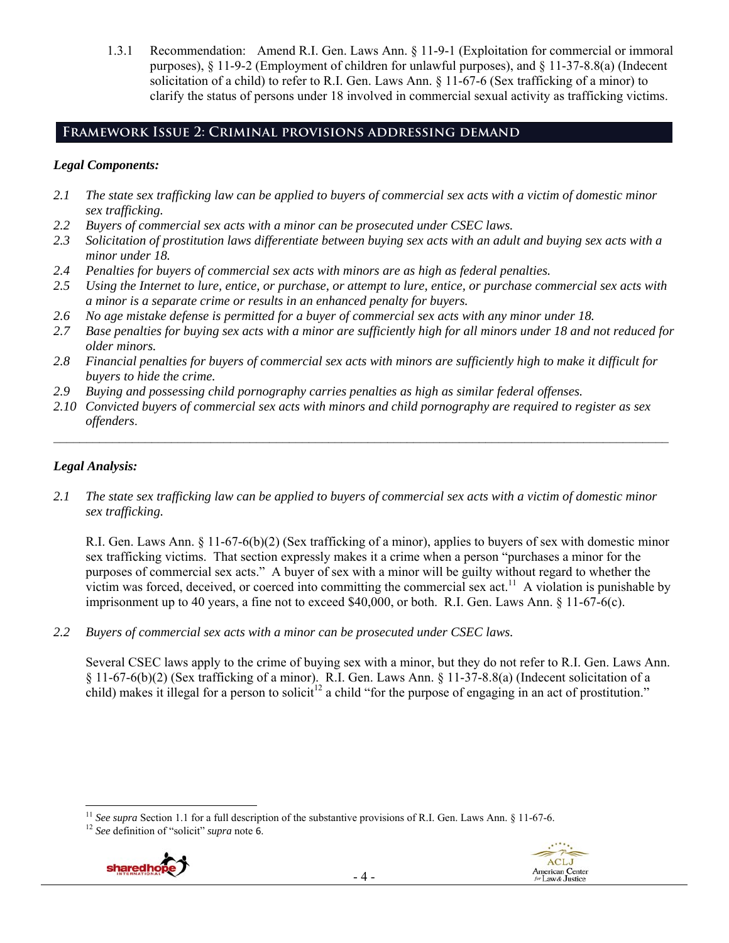1.3.1 Recommendation: Amend R.I. Gen. Laws Ann. § 11-9-1 (Exploitation for commercial or immoral purposes), § 11-9-2 (Employment of children for unlawful purposes), and § 11-37-8.8(a) (Indecent solicitation of a child) to refer to R.I. Gen. Laws Ann. § 11-67-6 (Sex trafficking of a minor) to clarify the status of persons under 18 involved in commercial sexual activity as trafficking victims.

# **Framework Issue 2: Criminal provisions addressing demand**

## *Legal Components:*

- *2.1 The state sex trafficking law can be applied to buyers of commercial sex acts with a victim of domestic minor sex trafficking.*
- *2.2 Buyers of commercial sex acts with a minor can be prosecuted under CSEC laws.*
- *2.3 Solicitation of prostitution laws differentiate between buying sex acts with an adult and buying sex acts with a minor under 18.*
- *2.4 Penalties for buyers of commercial sex acts with minors are as high as federal penalties.*
- *2.5 Using the Internet to lure, entice, or purchase, or attempt to lure, entice, or purchase commercial sex acts with a minor is a separate crime or results in an enhanced penalty for buyers.*
- *2.6 No age mistake defense is permitted for a buyer of commercial sex acts with any minor under 18.*
- *2.7 Base penalties for buying sex acts with a minor are sufficiently high for all minors under 18 and not reduced for older minors.*
- *2.8 Financial penalties for buyers of commercial sex acts with minors are sufficiently high to make it difficult for buyers to hide the crime.*
- *2.9 Buying and possessing child pornography carries penalties as high as similar federal offenses.*
- *2.10 Convicted buyers of commercial sex acts with minors and child pornography are required to register as sex offenders*.

 $\mathcal{L}_\mathcal{L} = \{ \mathcal{L}_\mathcal{L} = \{ \mathcal{L}_\mathcal{L} = \{ \mathcal{L}_\mathcal{L} = \{ \mathcal{L}_\mathcal{L} = \{ \mathcal{L}_\mathcal{L} = \{ \mathcal{L}_\mathcal{L} = \{ \mathcal{L}_\mathcal{L} = \{ \mathcal{L}_\mathcal{L} = \{ \mathcal{L}_\mathcal{L} = \{ \mathcal{L}_\mathcal{L} = \{ \mathcal{L}_\mathcal{L} = \{ \mathcal{L}_\mathcal{L} = \{ \mathcal{L}_\mathcal{L} = \{ \mathcal{L}_\mathcal{$ 

## *Legal Analysis:*

*2.1 The state sex trafficking law can be applied to buyers of commercial sex acts with a victim of domestic minor sex trafficking.*

R.I. Gen. Laws Ann. § 11-67-6(b)(2) (Sex trafficking of a minor), applies to buyers of sex with domestic minor sex trafficking victims. That section expressly makes it a crime when a person "purchases a minor for the purposes of commercial sex acts." A buyer of sex with a minor will be guilty without regard to whether the victim was forced, deceived, or coerced into committing the commercial sex  $act<sup>11</sup>$ . A violation is punishable by imprisonment up to 40 years, a fine not to exceed \$40,000, or both. R.I. Gen. Laws Ann. § 11-67-6(c).

*2.2 Buyers of commercial sex acts with a minor can be prosecuted under CSEC laws.* 

Several CSEC laws apply to the crime of buying sex with a minor, but they do not refer to R.I. Gen. Laws Ann. § 11-67-6(b)(2) (Sex trafficking of a minor). R.I. Gen. Laws Ann. § 11-37-8.8(a) (Indecent solicitation of a child) makes it illegal for a person to solicit<sup>12</sup> a child "for the purpose of engaging in an act of prostitution."



 <sup>11</sup> *See supra* Section 1.1 for a full description of the substantive provisions of R.I. Gen. Laws Ann. § 11-67-6. <sup>12</sup> *See* definition of "solicit" *supra* note 6.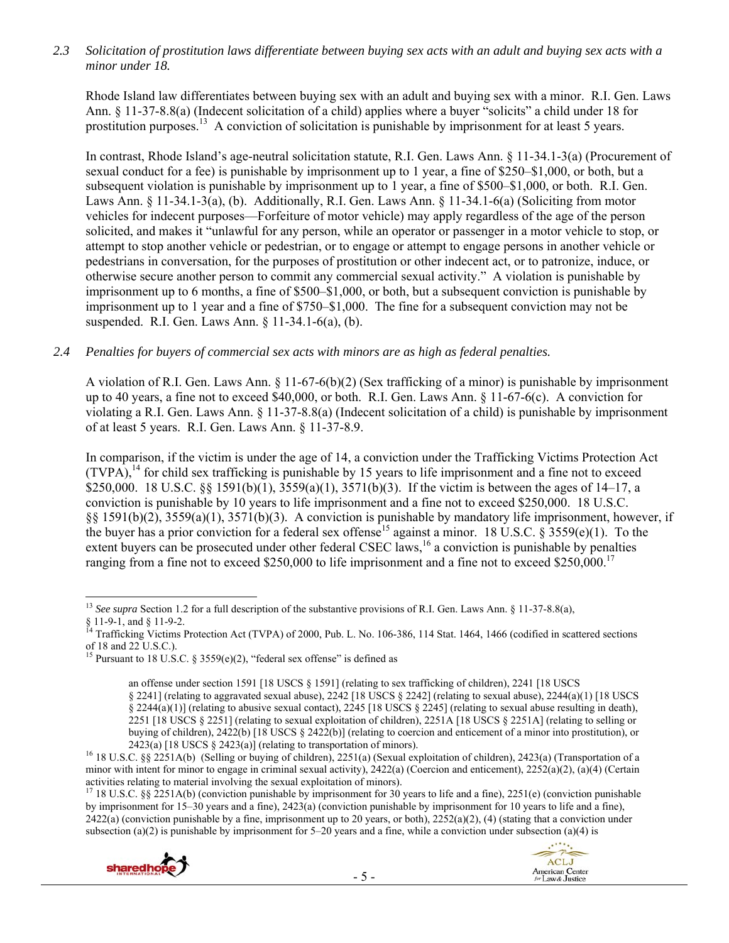*2.3 Solicitation of prostitution laws differentiate between buying sex acts with an adult and buying sex acts with a minor under 18.* 

Rhode Island law differentiates between buying sex with an adult and buying sex with a minor. R.I. Gen. Laws Ann. § 11-37-8.8(a) (Indecent solicitation of a child) applies where a buyer "solicits" a child under 18 for prostitution purposes.<sup>13</sup> A conviction of solicitation is punishable by imprisonment for at least 5 years.

In contrast, Rhode Island's age-neutral solicitation statute, R.I. Gen. Laws Ann. § 11-34.1-3(a) (Procurement of sexual conduct for a fee) is punishable by imprisonment up to 1 year, a fine of \$250–\$1,000, or both, but a subsequent violation is punishable by imprisonment up to 1 year, a fine of \$500–\$1,000, or both. R.I. Gen. Laws Ann. § 11-34.1-3(a), (b). Additionally, R.I. Gen. Laws Ann. § 11-34.1-6(a) (Soliciting from motor vehicles for indecent purposes—Forfeiture of motor vehicle) may apply regardless of the age of the person solicited, and makes it "unlawful for any person, while an operator or passenger in a motor vehicle to stop, or attempt to stop another vehicle or pedestrian, or to engage or attempt to engage persons in another vehicle or pedestrians in conversation, for the purposes of prostitution or other indecent act, or to patronize, induce, or otherwise secure another person to commit any commercial sexual activity." A violation is punishable by imprisonment up to 6 months, a fine of \$500–\$1,000, or both, but a subsequent conviction is punishable by imprisonment up to 1 year and a fine of \$750–\$1,000. The fine for a subsequent conviction may not be suspended. R.I. Gen. Laws Ann. § 11-34.1-6(a), (b).

#### *2.4 Penalties for buyers of commercial sex acts with minors are as high as federal penalties.*

A violation of R.I. Gen. Laws Ann. § 11-67-6(b)(2) (Sex trafficking of a minor) is punishable by imprisonment up to 40 years, a fine not to exceed \$40,000, or both. R.I. Gen. Laws Ann. § 11-67-6(c). A conviction for violating a R.I. Gen. Laws Ann. § 11-37-8.8(a) (Indecent solicitation of a child) is punishable by imprisonment of at least 5 years. R.I. Gen. Laws Ann. § 11-37-8.9.

In comparison, if the victim is under the age of 14, a conviction under the Trafficking Victims Protection Act  $(TVPA)$ ,<sup>14</sup> for child sex trafficking is punishable by 15 years to life imprisonment and a fine not to exceed \$250,000. 18 U.S.C. §§ 1591(b)(1), 3559(a)(1), 3571(b)(3). If the victim is between the ages of 14–17, a conviction is punishable by 10 years to life imprisonment and a fine not to exceed \$250,000. 18 U.S.C. §§ 1591(b)(2), 3559(a)(1), 3571(b)(3). A conviction is punishable by mandatory life imprisonment, however, if the buyer has a prior conviction for a federal sex offense<sup>15</sup> against a minor. 18 U.S.C. §  $3559(e)(1)$ . To the extent buyers can be prosecuted under other federal CSEC laws,<sup>16</sup> a conviction is punishable by penalties ranging from a fine not to exceed \$250,000 to life imprisonment and a fine not to exceed \$250,000.<sup>17</sup>

<sup>&</sup>lt;sup>17</sup> 18 U.S.C. §§ 2251A(b) (conviction punishable by imprisonment for 30 years to life and a fine), 2251(e) (conviction punishable by imprisonment for 15–30 years and a fine), 2423(a) (conviction punishable by imprisonment for 10 years to life and a fine),  $2422(a)$  (conviction punishable by a fine, imprisonment up to 20 years, or both),  $2252(a)(2)$ , (4) (stating that a conviction under subsection (a)(2) is punishable by imprisonment for 5–20 years and a fine, while a conviction under subsection (a)(4) is



 <sup>13</sup> See supra Section 1.2 for a full description of the substantive provisions of R.I. Gen. Laws Ann. § 11-37-8.8(a),

<sup>§ 11-9-1,</sup> and § 11-9-2.

<sup>&</sup>lt;sup>14</sup> Trafficking Victims Protection Act (TVPA) of 2000, Pub. L. No. 106-386, 114 Stat. 1464, 1466 (codified in scattered sections of 18 and 22 U.S.C.).

<sup>&</sup>lt;sup>15</sup> Pursuant to 18 U.S.C. § 3559(e)(2), "federal sex offense" is defined as

an offense under section 1591 [18 USCS § 1591] (relating to sex trafficking of children), 2241 [18 USCS § 2241] (relating to aggravated sexual abuse), 2242 [18 USCS § 2242] (relating to sexual abuse), 2244(a)(1) [18 USCS § 2244(a)(1)] (relating to abusive sexual contact), 2245 [18 USCS § 2245] (relating to sexual abuse resulting in death), 2251 [18 USCS § 2251] (relating to sexual exploitation of children), 2251A [18 USCS § 2251A] (relating to selling or buying of children), 2422(b) [18 USCS § 2422(b)] (relating to coercion and enticement of a minor into prostitution), or 2423(a) [18 USCS § 2423(a)] (relating to transportation of minors).<br><sup>16</sup> 18 U.S.C. §§ 2251A(b) (Selling or buying of children), 2251(a) (Sexual exploitation of children), 2423(a) (Transportation of a

minor with intent for minor to engage in criminal sexual activity),  $2422(a)$  (Coercion and enticement),  $2252(a)(2)$ ,  $(a)(4)$  (Certain activities relating to material involving the sexual exploitation of minors).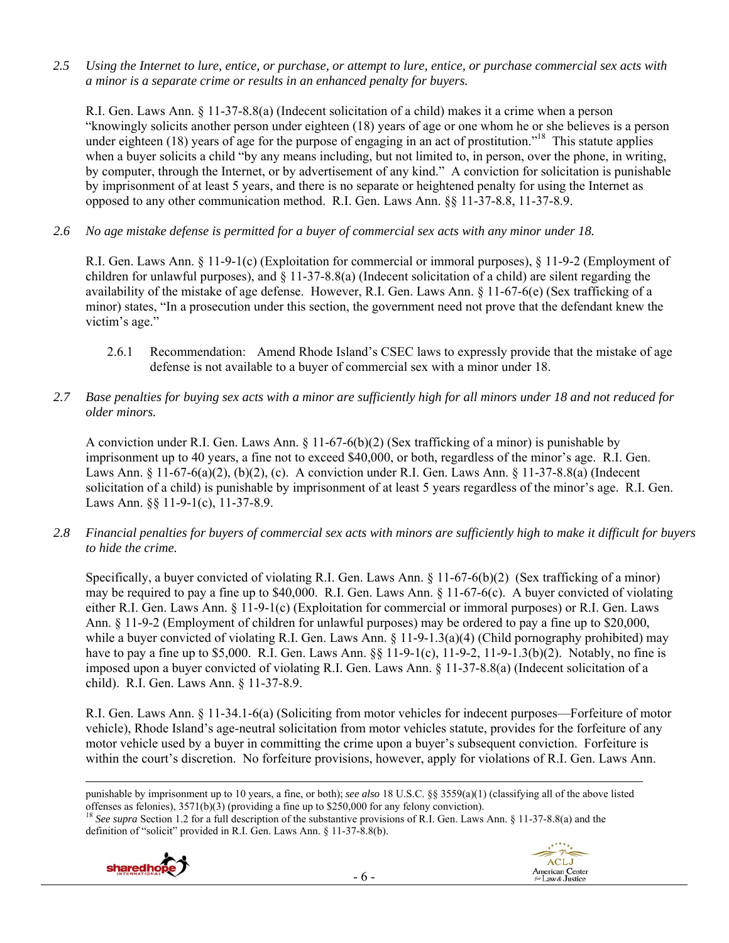*2.5 Using the Internet to lure, entice, or purchase, or attempt to lure, entice, or purchase commercial sex acts with a minor is a separate crime or results in an enhanced penalty for buyers.* 

R.I. Gen. Laws Ann. § 11-37-8.8(a) (Indecent solicitation of a child) makes it a crime when a person "knowingly solicits another person under eighteen (18) years of age or one whom he or she believes is a person under eighteen (18) years of age for the purpose of engaging in an act of prostitution."<sup>18</sup> This statute applies when a buyer solicits a child "by any means including, but not limited to, in person, over the phone, in writing, by computer, through the Internet, or by advertisement of any kind." A conviction for solicitation is punishable by imprisonment of at least 5 years, and there is no separate or heightened penalty for using the Internet as opposed to any other communication method. R.I. Gen. Laws Ann. §§ 11-37-8.8, 11-37-8.9.

*2.6 No age mistake defense is permitted for a buyer of commercial sex acts with any minor under 18.* 

R.I. Gen. Laws Ann. § 11-9-1(c) (Exploitation for commercial or immoral purposes), § 11-9-2 (Employment of children for unlawful purposes), and § 11-37-8.8(a) (Indecent solicitation of a child) are silent regarding the availability of the mistake of age defense. However, R.I. Gen. Laws Ann. § 11-67-6(e) (Sex trafficking of a minor) states, "In a prosecution under this section, the government need not prove that the defendant knew the victim's age."

- 2.6.1 Recommendation: Amend Rhode Island's CSEC laws to expressly provide that the mistake of age defense is not available to a buyer of commercial sex with a minor under 18.
- *2.7 Base penalties for buying sex acts with a minor are sufficiently high for all minors under 18 and not reduced for older minors.*

A conviction under R.I. Gen. Laws Ann. § 11-67-6(b)(2) (Sex trafficking of a minor) is punishable by imprisonment up to 40 years, a fine not to exceed \$40,000, or both, regardless of the minor's age. R.I. Gen. Laws Ann. § 11-67-6(a)(2), (b)(2), (c). A conviction under R.I. Gen. Laws Ann. § 11-37-8.8(a) (Indecent solicitation of a child) is punishable by imprisonment of at least 5 years regardless of the minor's age. R.I. Gen. Laws Ann. §§ 11-9-1(c), 11-37-8.9.

*2.8 Financial penalties for buyers of commercial sex acts with minors are sufficiently high to make it difficult for buyers to hide the crime.* 

Specifically, a buyer convicted of violating R.I. Gen. Laws Ann. § 11-67-6(b)(2) (Sex trafficking of a minor) may be required to pay a fine up to \$40,000. R.I. Gen. Laws Ann. § 11-67-6(c). A buyer convicted of violating either R.I. Gen. Laws Ann. § 11-9-1(c) (Exploitation for commercial or immoral purposes) or R.I. Gen. Laws Ann. § 11-9-2 (Employment of children for unlawful purposes) may be ordered to pay a fine up to \$20,000, while a buyer convicted of violating R.I. Gen. Laws Ann. § 11-9-1.3(a)(4) (Child pornography prohibited) may have to pay a fine up to \$5,000. R.I. Gen. Laws Ann.  $\S \ \ 11-9-1(c)$ ,  $11-9-2$ ,  $11-9-1.3(b)(2)$ . Notably, no fine is imposed upon a buyer convicted of violating R.I. Gen. Laws Ann. § 11-37-8.8(a) (Indecent solicitation of a child). R.I. Gen. Laws Ann. § 11-37-8.9.

R.I. Gen. Laws Ann. § 11-34.1-6(a) (Soliciting from motor vehicles for indecent purposes—Forfeiture of motor vehicle), Rhode Island's age-neutral solicitation from motor vehicles statute, provides for the forfeiture of any motor vehicle used by a buyer in committing the crime upon a buyer's subsequent conviction. Forfeiture is within the court's discretion. No forfeiture provisions, however, apply for violations of R.I. Gen. Laws Ann.

<u> Alexandro de la contrada de la contrada de la contrada de la contrada de la contrada de la contrada de la co</u>

offenses as felonies), 3571(b)(3) (providing a fine up to \$250,000 for any felony conviction).<br><sup>18</sup> See supra Section 1.2 for a full description of the substantive provisions of R.I. Gen. Laws Ann. § 11-37-8.8(a) and the definition of "solicit" provided in R.I. Gen. Laws Ann. § 11-37-8.8(b).



punishable by imprisonment up to 10 years, a fine, or both); *see also* 18 U.S.C. §§ 3559(a)(1) (classifying all of the above listed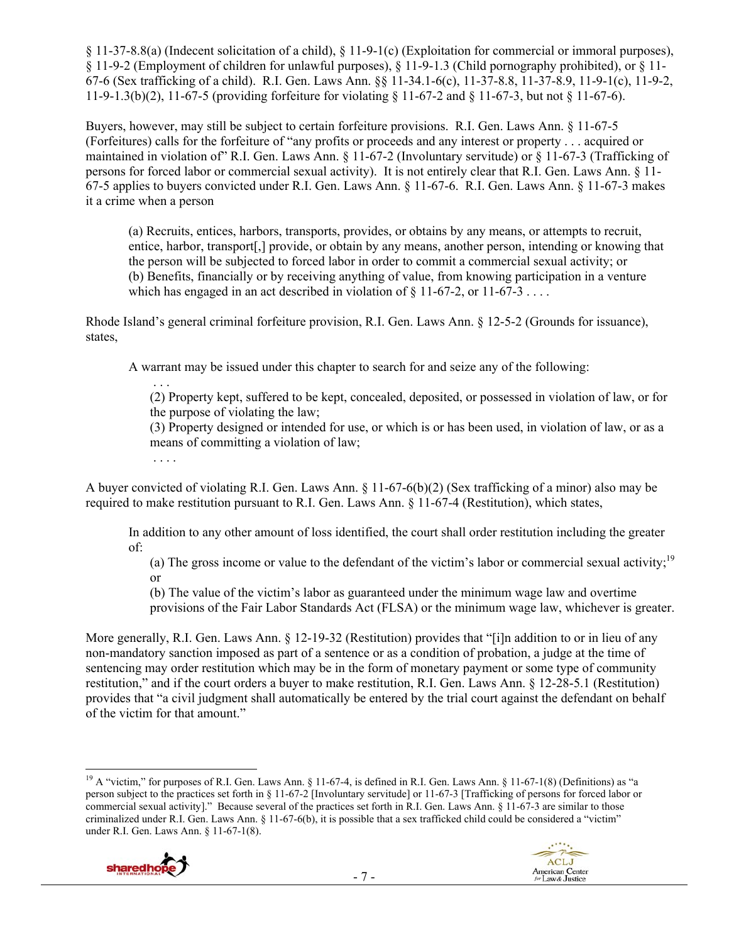§ 11-37-8.8(a) (Indecent solicitation of a child), § 11-9-1(c) (Exploitation for commercial or immoral purposes), § 11-9-2 (Employment of children for unlawful purposes), § 11-9-1.3 (Child pornography prohibited), or § 11- 67-6 (Sex trafficking of a child). R.I. Gen. Laws Ann. §§ 11-34.1-6(c), 11-37-8.8, 11-37-8.9, 11-9-1(c), 11-9-2, 11-9-1.3(b)(2), 11-67-5 (providing forfeiture for violating § 11-67-2 and § 11-67-3, but not § 11-67-6).

Buyers, however, may still be subject to certain forfeiture provisions. R.I. Gen. Laws Ann. § 11-67-5 (Forfeitures) calls for the forfeiture of "any profits or proceeds and any interest or property . . . acquired or maintained in violation of" R.I. Gen. Laws Ann. § 11-67-2 (Involuntary servitude) or § 11-67-3 (Trafficking of persons for forced labor or commercial sexual activity). It is not entirely clear that R.I. Gen. Laws Ann. § 11- 67-5 applies to buyers convicted under R.I. Gen. Laws Ann. § 11-67-6. R.I. Gen. Laws Ann. § 11-67-3 makes it a crime when a person

(a) Recruits, entices, harbors, transports, provides, or obtains by any means, or attempts to recruit, entice, harbor, transport[,] provide, or obtain by any means, another person, intending or knowing that the person will be subjected to forced labor in order to commit a commercial sexual activity; or (b) Benefits, financially or by receiving anything of value, from knowing participation in a venture which has engaged in an act described in violation of  $\S$  11-67-2, or 11-67-3...

Rhode Island's general criminal forfeiture provision, R.I. Gen. Laws Ann. § 12-5-2 (Grounds for issuance), states,

A warrant may be issued under this chapter to search for and seize any of the following:

 . . . (2) Property kept, suffered to be kept, concealed, deposited, or possessed in violation of law, or for the purpose of violating the law;

(3) Property designed or intended for use, or which is or has been used, in violation of law, or as a means of committing a violation of law;

A buyer convicted of violating R.I. Gen. Laws Ann. § 11-67-6(b)(2) (Sex trafficking of a minor) also may be required to make restitution pursuant to R.I. Gen. Laws Ann. § 11-67-4 (Restitution), which states,

In addition to any other amount of loss identified, the court shall order restitution including the greater of:

(a) The gross income or value to the defendant of the victim's labor or commercial sexual activity;<sup>19</sup> or

(b) The value of the victim's labor as guaranteed under the minimum wage law and overtime provisions of the Fair Labor Standards Act (FLSA) or the minimum wage law, whichever is greater.

More generally, R.I. Gen. Laws Ann. § 12-19-32 (Restitution) provides that "[i]n addition to or in lieu of any non-mandatory sanction imposed as part of a sentence or as a condition of probation, a judge at the time of sentencing may order restitution which may be in the form of monetary payment or some type of community restitution," and if the court orders a buyer to make restitution, R.I. Gen. Laws Ann. § 12-28-5.1 (Restitution) provides that "a civil judgment shall automatically be entered by the trial court against the defendant on behalf of the victim for that amount."

<sup>&</sup>lt;sup>19</sup> A "victim," for purposes of R.I. Gen. Laws Ann. § 11-67-4, is defined in R.I. Gen. Laws Ann. § 11-67-1(8) (Definitions) as "a person subject to the practices set forth in § 11-67-2 [Involuntary servitude] or 11-67-3 [Trafficking of persons for forced labor or commercial sexual activity]." Because several of the practices set forth in R.I. Gen. Laws Ann. § 11-67-3 are similar to those criminalized under R.I. Gen. Laws Ann. § 11-67-6(b), it is possible that a sex trafficked child could be considered a "victim" under R.I. Gen. Laws Ann. § 11-67-1(8).



. . . .

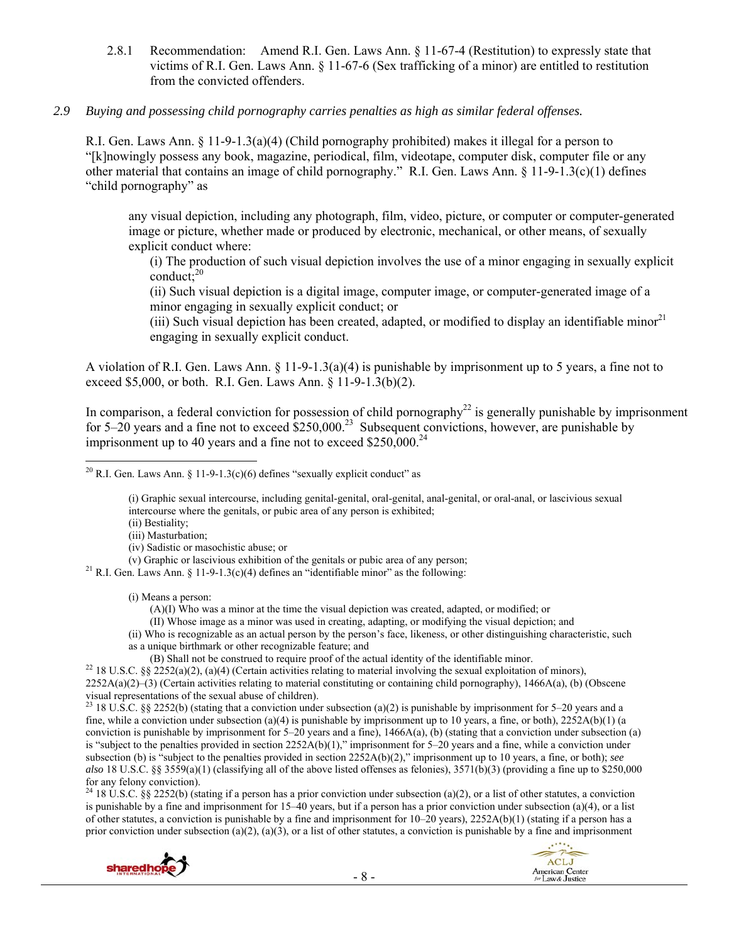2.8.1 Recommendation: Amend R.I. Gen. Laws Ann. § 11-67-4 (Restitution) to expressly state that victims of R.I. Gen. Laws Ann. § 11-67-6 (Sex trafficking of a minor) are entitled to restitution from the convicted offenders.

#### *2.9 Buying and possessing child pornography carries penalties as high as similar federal offenses.*

R.I. Gen. Laws Ann. § 11-9-1.3(a)(4) (Child pornography prohibited) makes it illegal for a person to "[k]nowingly possess any book, magazine, periodical, film, videotape, computer disk, computer file or any other material that contains an image of child pornography." R.I. Gen. Laws Ann. § 11-9-1.3(c)(1) defines "child pornography" as

any visual depiction, including any photograph, film, video, picture, or computer or computer-generated image or picture, whether made or produced by electronic, mechanical, or other means, of sexually explicit conduct where:

(i) The production of such visual depiction involves the use of a minor engaging in sexually explicit  $\text{conduct:}^{20}$ 

(ii) Such visual depiction is a digital image, computer image, or computer-generated image of a minor engaging in sexually explicit conduct; or

(iii) Such visual depiction has been created, adapted, or modified to display an identifiable minor $^{21}$ engaging in sexually explicit conduct.

A violation of R.I. Gen. Laws Ann. § 11-9-1.3(a)(4) is punishable by imprisonment up to 5 years, a fine not to exceed \$5,000, or both. R.I. Gen. Laws Ann. § 11-9-1.3(b)(2).

In comparison, a federal conviction for possession of child pornography<sup>22</sup> is generally punishable by imprisonment for 5–20 years and a fine not to exceed  $$250,000.<sup>23</sup>$  Subsequent convictions, however, are punishable by imprisonment up to 40 years and a fine not to exceed  $$250,000.<sup>24</sup>$ 

(i) Graphic sexual intercourse, including genital-genital, oral-genital, anal-genital, or oral-anal, or lascivious sexual intercourse where the genitals, or pubic area of any person is exhibited;

(ii) Bestiality;

(iii) Masturbation;

(iv) Sadistic or masochistic abuse; or<br>(y) Graphic or lascivious exhibition of the genitals or pubic area of any person:

<sup>21</sup> R.I. Gen. Laws Ann. § 11-9-1.3(c)(4) defines an "identifiable minor" as the following:

(i) Means a person:

(A)(I) Who was a minor at the time the visual depiction was created, adapted, or modified; or

(II) Whose image as a minor was used in creating, adapting, or modifying the visual depiction; and

- (ii) Who is recognizable as an actual person by the person's face, likeness, or other distinguishing characteristic, such
- 

as a unique birthmark or other recognizable feature; and

<sup>22</sup> 18 U.S.C. §§ 2252(a)(2), (a)(4) (Certain activities relating to material involving the sexual exploitation of minors),  $2252A(a)(2)$ –(3) (Certain activities relating to material constituting or containing child pornography), 1466A(a), (b) (Obscene visual representations of the sexual abuse of children).

<sup>23</sup> 18 U.S.C. §§ 2252(b) (stating that a conviction under subsection (a)(2) is punishable by imprisonment for 5–20 years and a fine, while a conviction under subsection (a)(4) is punishable by imprisonment up to 10 years, a fine, or both),  $2252A(b)(1)$  (a conviction is punishable by imprisonment for  $5-20$  years and a fine),  $1466A(a)$ , (b) (stating that a conviction under subsection (a) is "subject to the penalties provided in section 2252A(b)(1)," imprisonment for 5–20 years and a fine, while a conviction under subsection (b) is "subject to the penalties provided in section 2252A(b)(2)," imprisonment up to 10 years, a fine, or both); *see also* 18 U.S.C. §§ 3559(a)(1) (classifying all of the above listed offenses as felonies), 3571(b)(3) (providing a fine up to \$250,000 for any felony conviction).

<sup>24</sup> 18 U.S.C. §§ 2252(b) (stating if a person has a prior conviction under subsection (a)(2), or a list of other statutes, a conviction is punishable by a fine and imprisonment for 15–40 years, but if a person has a prior conviction under subsection (a)(4), or a list of other statutes, a conviction is punishable by a fine and imprisonment for 10–20 years), 2252A(b)(1) (stating if a person has a prior conviction under subsection (a)(2), (a)(3), or a list of other statutes, a conviction is punishable by a fine and imprisonment





<sup>&</sup>lt;sup>20</sup> R.I. Gen. Laws Ann. § 11-9-1.3(c)(6) defines "sexually explicit conduct" as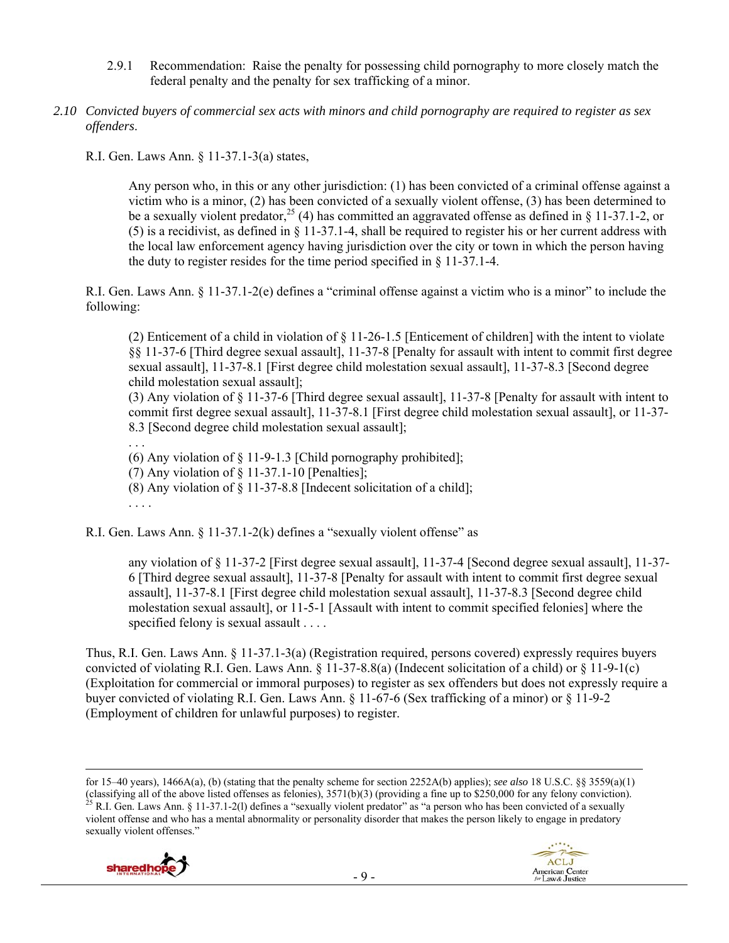- 2.9.1 Recommendation: Raise the penalty for possessing child pornography to more closely match the federal penalty and the penalty for sex trafficking of a minor.
- *2.10 Convicted buyers of commercial sex acts with minors and child pornography are required to register as sex offenders*.

R.I. Gen. Laws Ann. § 11-37.1-3(a) states,

Any person who, in this or any other jurisdiction: (1) has been convicted of a criminal offense against a victim who is a minor, (2) has been convicted of a sexually violent offense, (3) has been determined to be a sexually violent predator, <sup>25</sup> (4) has committed an aggravated offense as defined in § 11-37.1-2, or (5) is a recidivist, as defined in § 11-37.1-4, shall be required to register his or her current address with the local law enforcement agency having jurisdiction over the city or town in which the person having the duty to register resides for the time period specified in § 11-37.1-4.

R.I. Gen. Laws Ann. § 11-37.1-2(e) defines a "criminal offense against a victim who is a minor" to include the following:

(2) Enticement of a child in violation of § 11-26-1.5 [Enticement of children] with the intent to violate §§ 11-37-6 [Third degree sexual assault], 11-37-8 [Penalty for assault with intent to commit first degree sexual assault], 11-37-8.1 [First degree child molestation sexual assault], 11-37-8.3 [Second degree child molestation sexual assault];

(3) Any violation of § 11-37-6 [Third degree sexual assault], 11-37-8 [Penalty for assault with intent to commit first degree sexual assault], 11-37-8.1 [First degree child molestation sexual assault], or 11-37- 8.3 [Second degree child molestation sexual assault];

. . .

(6) Any violation of § 11-9-1.3 [Child pornography prohibited];

(7) Any violation of  $\S$  11-37.1-10 [Penalties];

(8) Any violation of § 11-37-8.8 [Indecent solicitation of a child];

. . . .

R.I. Gen. Laws Ann. § 11-37.1-2(k) defines a "sexually violent offense" as

any violation of § 11-37-2 [First degree sexual assault], 11-37-4 [Second degree sexual assault], 11-37- 6 [Third degree sexual assault], 11-37-8 [Penalty for assault with intent to commit first degree sexual assault], 11-37-8.1 [First degree child molestation sexual assault], 11-37-8.3 [Second degree child molestation sexual assault], or 11-5-1 [Assault with intent to commit specified felonies] where the specified felony is sexual assault . . . .

Thus, R.I. Gen. Laws Ann. § 11-37.1-3(a) (Registration required, persons covered) expressly requires buyers convicted of violating R.I. Gen. Laws Ann. § 11-37-8.8(a) (Indecent solicitation of a child) or § 11-9-1(c) (Exploitation for commercial or immoral purposes) to register as sex offenders but does not expressly require a buyer convicted of violating R.I. Gen. Laws Ann. § 11-67-6 (Sex trafficking of a minor) or § 11-9-2 (Employment of children for unlawful purposes) to register.

<u> 1989 - Johann Stein, marwolaethau a gweledydd a ganlad y ganlad y ganlad y ganlad y ganlad y ganlad y ganlad</u>





for 15–40 years), 1466A(a), (b) (stating that the penalty scheme for section 2252A(b) applies); *see also* 18 U.S.C. §§ 3559(a)(1) (classifying all of the above listed offenses as felonies),  $3571(b)(3)$  (providing a fine up to \$250,000 for any felony conviction).<br><sup>25</sup> R.I. Gen. Laws Ann. § 11-37.1-2(l) defines a "sexually violent predator" as "a perso violent offense and who has a mental abnormality or personality disorder that makes the person likely to engage in predatory sexually violent offenses."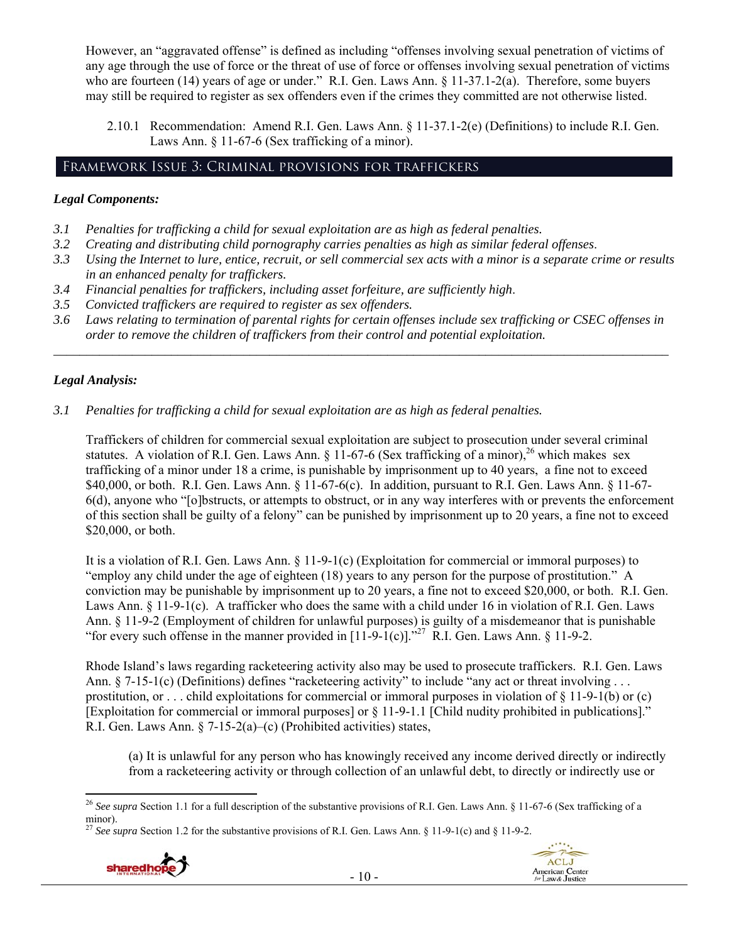However, an "aggravated offense" is defined as including "offenses involving sexual penetration of victims of any age through the use of force or the threat of use of force or offenses involving sexual penetration of victims who are fourteen (14) years of age or under." R.I. Gen. Laws Ann. § 11-37.1-2(a). Therefore, some buyers may still be required to register as sex offenders even if the crimes they committed are not otherwise listed.

2.10.1 Recommendation: Amend R.I. Gen. Laws Ann. § 11-37.1-2(e) (Definitions) to include R.I. Gen. Laws Ann. § 11-67-6 (Sex trafficking of a minor).

# Framework Issue 3: Criminal provisions for traffickers

## *Legal Components:*

- *3.1 Penalties for trafficking a child for sexual exploitation are as high as federal penalties.*
- *3.2 Creating and distributing child pornography carries penalties as high as similar federal offenses*.
- *3.3 Using the Internet to lure, entice, recruit, or sell commercial sex acts with a minor is a separate crime or results in an enhanced penalty for traffickers.*
- *3.4 Financial penalties for traffickers, including asset forfeiture, are sufficiently high*.
- *3.5 Convicted traffickers are required to register as sex offenders.*
- *3.6 Laws relating to termination of parental rights for certain offenses include sex trafficking or CSEC offenses in order to remove the children of traffickers from their control and potential exploitation. \_\_\_\_\_\_\_\_\_\_\_\_\_\_\_\_\_\_\_\_\_\_\_\_\_\_\_\_\_\_\_\_\_\_\_\_\_\_\_\_\_\_\_\_\_\_\_\_\_\_\_\_\_\_\_\_\_\_\_\_\_\_\_\_\_\_\_\_\_\_\_\_\_\_\_\_\_\_\_\_\_\_\_\_\_\_\_\_\_\_\_\_\_\_*

# *Legal Analysis:*

### *3.1 Penalties for trafficking a child for sexual exploitation are as high as federal penalties.*

Traffickers of children for commercial sexual exploitation are subject to prosecution under several criminal statutes. A violation of R.I. Gen. Laws Ann.  $\S$  11-67-6 (Sex trafficking of a minor),<sup>26</sup> which makes sex trafficking of a minor under 18 a crime, is punishable by imprisonment up to 40 years, a fine not to exceed \$40,000, or both. R.I. Gen. Laws Ann. § 11-67-6(c). In addition, pursuant to R.I. Gen. Laws Ann. § 11-67- 6(d), anyone who "[o]bstructs, or attempts to obstruct, or in any way interferes with or prevents the enforcement of this section shall be guilty of a felony" can be punished by imprisonment up to 20 years, a fine not to exceed \$20,000, or both.

It is a violation of R.I. Gen. Laws Ann. § 11-9-1(c) (Exploitation for commercial or immoral purposes) to "employ any child under the age of eighteen (18) years to any person for the purpose of prostitution." A conviction may be punishable by imprisonment up to 20 years, a fine not to exceed \$20,000, or both. R.I. Gen. Laws Ann. § 11-9-1(c). A trafficker who does the same with a child under 16 in violation of R.I. Gen. Laws Ann. § 11-9-2 (Employment of children for unlawful purposes) is guilty of a misdemeanor that is punishable "for every such offense in the manner provided in  $[11-9-1(c)]^{27}$ . R.I. Gen. Laws Ann. § 11-9-2.

Rhode Island's laws regarding racketeering activity also may be used to prosecute traffickers. R.I. Gen. Laws Ann. § 7-15-1(c) (Definitions) defines "racketeering activity" to include "any act or threat involving . . . prostitution, or . . . child exploitations for commercial or immoral purposes in violation of § 11-9-1(b) or (c) [Exploitation for commercial or immoral purposes] or § 11-9-1.1 [Child nudity prohibited in publications]." R.I. Gen. Laws Ann. § 7-15-2(a)–(c) (Prohibited activities) states,

(a) It is unlawful for any person who has knowingly received any income derived directly or indirectly from a racketeering activity or through collection of an unlawful debt, to directly or indirectly use or

<sup>27</sup> *See supra* Section 1.2 for the substantive provisions of R.I. Gen. Laws Ann. § 11-9-1(c) and § 11-9-2.





 <sup>26</sup> *See supra* Section 1.1 for a full description of the substantive provisions of R.I. Gen. Laws Ann. § 11-67-6 (Sex trafficking of a  $\frac{\text{minor}}{27}$ .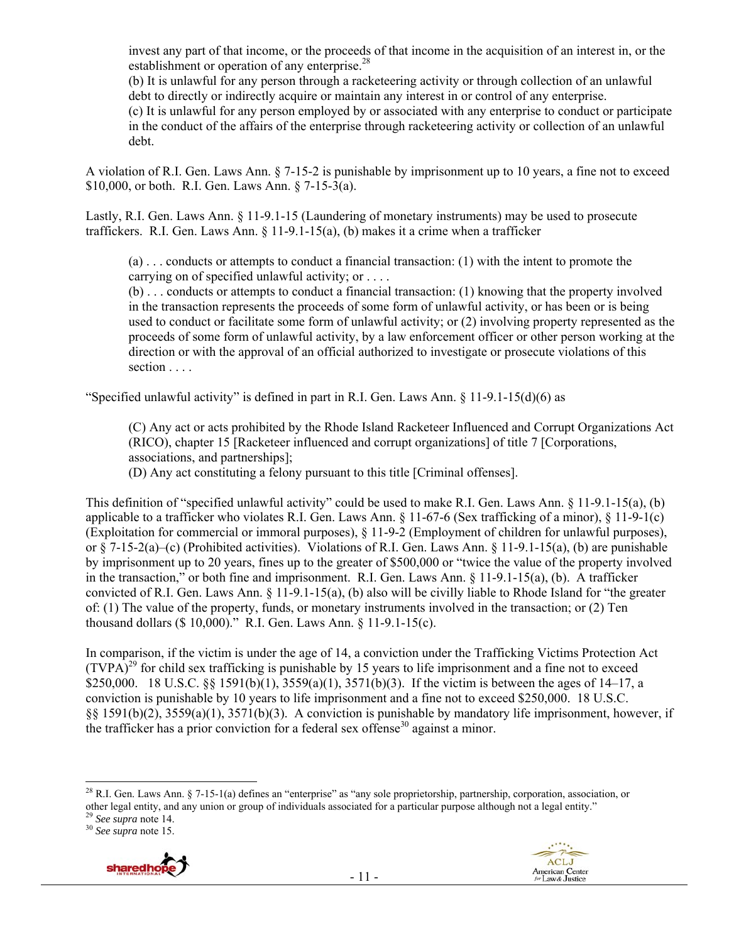invest any part of that income, or the proceeds of that income in the acquisition of an interest in, or the establishment or operation of any enterprise.<sup>28</sup>

(b) It is unlawful for any person through a racketeering activity or through collection of an unlawful debt to directly or indirectly acquire or maintain any interest in or control of any enterprise.

(c) It is unlawful for any person employed by or associated with any enterprise to conduct or participate in the conduct of the affairs of the enterprise through racketeering activity or collection of an unlawful debt.

A violation of R.I. Gen. Laws Ann. § 7-15-2 is punishable by imprisonment up to 10 years, a fine not to exceed \$10,000, or both. R.I. Gen. Laws Ann. § 7-15-3(a).

Lastly, R.I. Gen. Laws Ann. § 11-9.1-15 (Laundering of monetary instruments) may be used to prosecute traffickers. R.I. Gen. Laws Ann.  $\S$  11-9.1-15(a), (b) makes it a crime when a trafficker

(a) . . . conducts or attempts to conduct a financial transaction: (1) with the intent to promote the carrying on of specified unlawful activity; or . . . .

(b) . . . conducts or attempts to conduct a financial transaction: (1) knowing that the property involved in the transaction represents the proceeds of some form of unlawful activity, or has been or is being used to conduct or facilitate some form of unlawful activity; or (2) involving property represented as the proceeds of some form of unlawful activity, by a law enforcement officer or other person working at the direction or with the approval of an official authorized to investigate or prosecute violations of this section . . . .

"Specified unlawful activity" is defined in part in R.I. Gen. Laws Ann. § 11-9.1-15(d)(6) as

(C) Any act or acts prohibited by the Rhode Island Racketeer Influenced and Corrupt Organizations Act (RICO), chapter 15 [Racketeer influenced and corrupt organizations] of title 7 [Corporations, associations, and partnerships];

(D) Any act constituting a felony pursuant to this title [Criminal offenses].

This definition of "specified unlawful activity" could be used to make R.I. Gen. Laws Ann. § 11-9.1-15(a), (b) applicable to a trafficker who violates R.I. Gen. Laws Ann. § 11-67-6 (Sex trafficking of a minor), § 11-9-1(c) (Exploitation for commercial or immoral purposes), § 11-9-2 (Employment of children for unlawful purposes), or § 7-15-2(a)–(c) (Prohibited activities). Violations of R.I. Gen. Laws Ann. § 11-9.1-15(a), (b) are punishable by imprisonment up to 20 years, fines up to the greater of \$500,000 or "twice the value of the property involved in the transaction," or both fine and imprisonment. R.I. Gen. Laws Ann. § 11-9.1-15(a), (b). A trafficker convicted of R.I. Gen. Laws Ann. § 11-9.1-15(a), (b) also will be civilly liable to Rhode Island for "the greater of: (1) The value of the property, funds, or monetary instruments involved in the transaction; or (2) Ten thousand dollars (\$ 10,000)." R.I. Gen. Laws Ann. § 11-9.1-15(c).

In comparison, if the victim is under the age of 14, a conviction under the Trafficking Victims Protection Act  $(TVPA)<sup>29</sup>$  for child sex trafficking is punishable by 15 years to life imprisonment and a fine not to exceed \$250,000. 18 U.S.C. §§ 1591(b)(1), 3559(a)(1), 3571(b)(3). If the victim is between the ages of 14–17, a conviction is punishable by 10 years to life imprisonment and a fine not to exceed \$250,000. 18 U.S.C. §§ 1591(b)(2), 3559(a)(1), 3571(b)(3). A conviction is punishable by mandatory life imprisonment, however, if the trafficker has a prior conviction for a federal sex offense<sup>30</sup> against a minor.





 $^{28}$  R.I. Gen. Laws Ann. § 7-15-1(a) defines an "enterprise" as "any sole proprietorship, partnership, corporation, association, or other legal entity, and any union or group of individuals associated for a particular purpose although not a legal entity." 29 *See supra* note 14. 30 *See supra* note 15.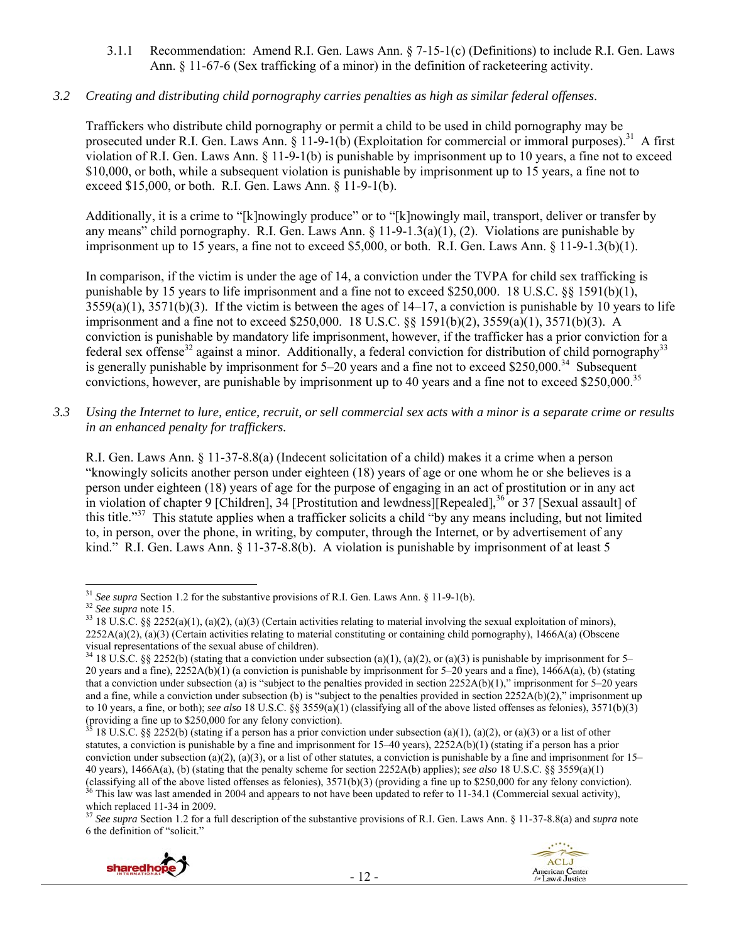3.1.1 Recommendation: Amend R.I. Gen. Laws Ann. § 7-15-1(c) (Definitions) to include R.I. Gen. Laws Ann. § 11-67-6 (Sex trafficking of a minor) in the definition of racketeering activity.

## *3.2 Creating and distributing child pornography carries penalties as high as similar federal offenses*.

Traffickers who distribute child pornography or permit a child to be used in child pornography may be prosecuted under R.I. Gen. Laws Ann. § 11-9-1(b) (Exploitation for commercial or immoral purposes).<sup>31</sup> A first violation of R.I. Gen. Laws Ann. § 11-9-1(b) is punishable by imprisonment up to 10 years, a fine not to exceed \$10,000, or both, while a subsequent violation is punishable by imprisonment up to 15 years, a fine not to exceed \$15,000, or both. R.I. Gen. Laws Ann. § 11-9-1(b).

Additionally, it is a crime to "[k]nowingly produce" or to "[k]nowingly mail, transport, deliver or transfer by any means" child pornography. R.I. Gen. Laws Ann. § 11-9-1.3(a)(1), (2). Violations are punishable by imprisonment up to 15 years, a fine not to exceed \$5,000, or both. R.I. Gen. Laws Ann. § 11-9-1.3(b)(1).

In comparison, if the victim is under the age of 14, a conviction under the TVPA for child sex trafficking is punishable by 15 years to life imprisonment and a fine not to exceed \$250,000. 18 U.S.C. §§ 1591(b)(1),  $3559(a)(1)$ ,  $3571(b)(3)$ . If the victim is between the ages of  $14-17$ , a conviction is punishable by 10 years to life imprisonment and a fine not to exceed \$250,000. 18 U.S.C. §§ 1591(b)(2), 3559(a)(1), 3571(b)(3). A conviction is punishable by mandatory life imprisonment, however, if the trafficker has a prior conviction for a federal sex offense<sup>32</sup> against a minor. Additionally, a federal conviction for distribution of child pornography<sup>33</sup> is generally punishable by imprisonment for  $5-20$  years and a fine not to exceed \$250,000.<sup>34</sup> Subsequent convictions, however, are punishable by imprisonment up to 40 years and a fine not to exceed \$250,000.<sup>35</sup>

*3.3 Using the Internet to lure, entice, recruit, or sell commercial sex acts with a minor is a separate crime or results in an enhanced penalty for traffickers.* 

R.I. Gen. Laws Ann. § 11-37-8.8(a) (Indecent solicitation of a child) makes it a crime when a person "knowingly solicits another person under eighteen (18) years of age or one whom he or she believes is a person under eighteen (18) years of age for the purpose of engaging in an act of prostitution or in any act in violation of chapter 9 [Children], 34 [Prostitution and lewdness][Repealed],<sup>36</sup> or 37 [Sexual assault] of this title."<sup>37</sup> This statute applies when a trafficker solicits a child "by any means including, but not limited to, in person, over the phone, in writing, by computer, through the Internet, or by advertisement of any kind." R.I. Gen. Laws Ann. § 11-37-8.8(b). A violation is punishable by imprisonment of at least 5

<sup>37</sup> *See supra* Section 1.2 for a full description of the substantive provisions of R.I. Gen. Laws Ann. § 11-37-8.8(a) and *supra* note 6 the definition of "solicit."





<sup>&</sup>lt;sup>31</sup> See supra Section 1.2 for the substantive provisions of R.I. Gen. Laws Ann. § 11-9-1(b).

<sup>&</sup>lt;sup>32</sup> See supra note 15.<br><sup>33</sup> 18 U.S.C. §§ 2252(a)(1), (a)(2), (a)(3) (Certain activities relating to material involving the sexual exploitation of minors),  $2252A(a)(2)$ , (a)(3) (Certain activities relating to material constituting or containing child pornography), 1466A(a) (Obscene visual representations of the sexual abuse of children).

<sup>&</sup>lt;sup>34</sup> 18 U.S.C. §§ 2252(b) (stating that a conviction under subsection (a)(1), (a)(2), or (a)(3) is punishable by imprisonment for 5– 20 years and a fine),  $2252A(b)(1)$  (a conviction is punishable by imprisonment for 5–20 years and a fine),  $1466A(a)$ , (b) (stating that a conviction under subsection (a) is "subject to the penalties provided in section  $2252A(b)(1)$ ," imprisonment for 5–20 years and a fine, while a conviction under subsection (b) is "subject to the penalties provided in section  $2252A(b)(2)$ ," imprisonment up to 10 years, a fine, or both); *see also* 18 U.S.C. §§ 3559(a)(1) (classifying all of the above listed offenses as felonies), 3571(b)(3) (providing a fine up to  $$250,000$  for any felony conviction).

<sup>18</sup> U.S.C. §§ 2252(b) (stating if a person has a prior conviction under subsection (a)(1), (a)(2), or (a)(3) or a list of other statutes, a conviction is punishable by a fine and imprisonment for 15–40 years), 2252A(b)(1) (stating if a person has a prior conviction under subsection (a)(2), (a)(3), or a list of other statutes, a conviction is punishable by a fine and imprisonment for  $15-$ 40 years), 1466A(a), (b) (stating that the penalty scheme for section 2252A(b) applies); *see also* 18 U.S.C. §§ 3559(a)(1) (classifying all of the above listed offenses as felonies), 3571(b)(3) (providing a fine up to \$250,000 for any felony conviction).<br><sup>36</sup> This law was last amended in 2004 and appears to not have been updated to refer to 1 which replaced 11-34 in 2009.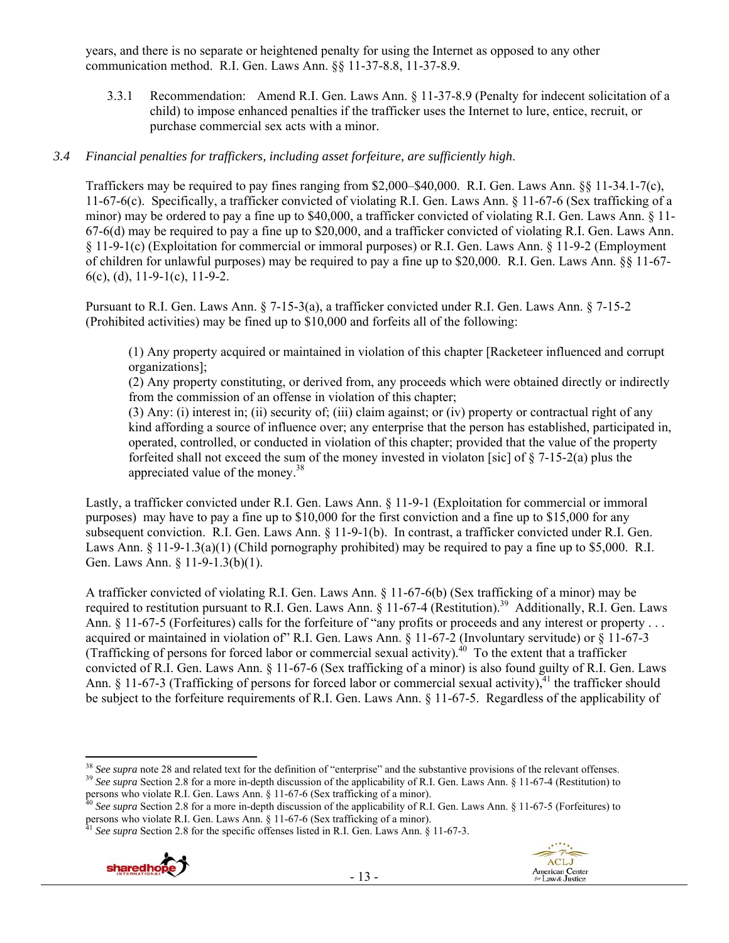years, and there is no separate or heightened penalty for using the Internet as opposed to any other communication method. R.I. Gen. Laws Ann. §§ 11-37-8.8, 11-37-8.9.

3.3.1 Recommendation: Amend R.I. Gen. Laws Ann. § 11-37-8.9 (Penalty for indecent solicitation of a child) to impose enhanced penalties if the trafficker uses the Internet to lure, entice, recruit, or purchase commercial sex acts with a minor.

#### *3.4 Financial penalties for traffickers, including asset forfeiture, are sufficiently high*.

Traffickers may be required to pay fines ranging from \$2,000–\$40,000. R.I. Gen. Laws Ann. §§ 11-34.1-7(c), 11-67-6(c). Specifically, a trafficker convicted of violating R.I. Gen. Laws Ann. § 11-67-6 (Sex trafficking of a minor) may be ordered to pay a fine up to \$40,000, a trafficker convicted of violating R.I. Gen. Laws Ann. § 11- 67-6(d) may be required to pay a fine up to \$20,000, and a trafficker convicted of violating R.I. Gen. Laws Ann. § 11-9-1(c) (Exploitation for commercial or immoral purposes) or R.I. Gen. Laws Ann. § 11-9-2 (Employment of children for unlawful purposes) may be required to pay a fine up to \$20,000. R.I. Gen. Laws Ann. §§ 11-67- 6(c), (d), 11-9-1(c), 11-9-2.

Pursuant to R.I. Gen. Laws Ann. § 7-15-3(a), a trafficker convicted under R.I. Gen. Laws Ann. § 7-15-2 (Prohibited activities) may be fined up to \$10,000 and forfeits all of the following:

(1) Any property acquired or maintained in violation of this chapter [Racketeer influenced and corrupt organizations];

(2) Any property constituting, or derived from, any proceeds which were obtained directly or indirectly from the commission of an offense in violation of this chapter;

(3) Any: (i) interest in; (ii) security of; (iii) claim against; or (iv) property or contractual right of any kind affording a source of influence over; any enterprise that the person has established, participated in, operated, controlled, or conducted in violation of this chapter; provided that the value of the property forfeited shall not exceed the sum of the money invested in violaton [sic] of  $\S$  7-15-2(a) plus the appreciated value of the money.<sup>38</sup>

Lastly, a trafficker convicted under R.I. Gen. Laws Ann. § 11-9-1 (Exploitation for commercial or immoral purposes) may have to pay a fine up to \$10,000 for the first conviction and a fine up to \$15,000 for any subsequent conviction. R.I. Gen. Laws Ann. § 11-9-1(b). In contrast, a trafficker convicted under R.I. Gen. Laws Ann.  $\S 11-9-1.3(a)(1)$  (Child pornography prohibited) may be required to pay a fine up to \$5,000. R.I. Gen. Laws Ann. § 11-9-1.3(b)(1).

A trafficker convicted of violating R.I. Gen. Laws Ann. § 11-67-6(b) (Sex trafficking of a minor) may be required to restitution pursuant to R.I. Gen. Laws Ann. § 11-67-4 (Restitution).<sup>39</sup> Additionally, R.I. Gen. Laws Ann. § 11-67-5 (Forfeitures) calls for the forfeiture of "any profits or proceeds and any interest or property . . . acquired or maintained in violation of" R.I. Gen. Laws Ann. § 11-67-2 (Involuntary servitude) or § 11-67-3 (Trafficking of persons for forced labor or commercial sexual activity).<sup>40</sup> To the extent that a trafficker convicted of R.I. Gen. Laws Ann. § 11-67-6 (Sex trafficking of a minor) is also found guilty of R.I. Gen. Laws Ann. § 11-67-3 (Trafficking of persons for forced labor or commercial sexual activity), $4$ <sup>1</sup> the trafficker should be subject to the forfeiture requirements of R.I. Gen. Laws Ann. § 11-67-5. Regardless of the applicability of





<sup>&</sup>lt;sup>38</sup> See supra note 28 and related text for the definition of "enterprise" and the substantive provisions of the relevant offenses. <sup>39</sup> See supra Section 2.8 for a more in-depth discussion of the applicability of R.I. Gen. Laws Ann. § 11-67-4 (Restitution) to

persons who violate R.I. Gen. Laws Ann. § 11-67-6 (Sex trafficking of a minor).<br><sup>40</sup> *See supra* Section 2.8 for a more in-depth discussion of the applicability of R.I. Gen. Laws Ann. § 11-67-5 (Forfeitures) to persons who violate R.I. Gen. Laws Ann. § 11-67-6 (Sex trafficking of a minor).<br><sup>41</sup> *See supra* Section 2.8 for the specific offenses listed in R.I. Gen. Laws Ann. § 11-67-3.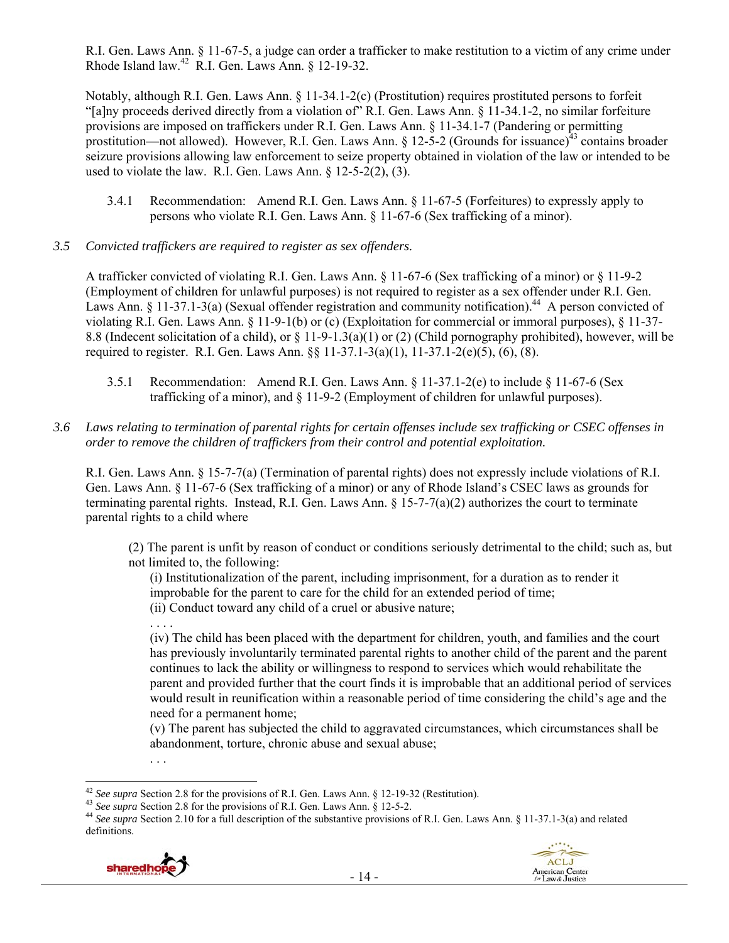R.I. Gen. Laws Ann. § 11-67-5, a judge can order a trafficker to make restitution to a victim of any crime under Rhode Island law.42 R.I. Gen. Laws Ann. § 12-19-32.

Notably, although R.I. Gen. Laws Ann. § 11-34.1-2(c) (Prostitution) requires prostituted persons to forfeit "[a]ny proceeds derived directly from a violation of" R.I. Gen. Laws Ann. § 11-34.1-2, no similar forfeiture provisions are imposed on traffickers under R.I. Gen. Laws Ann. § 11-34.1-7 (Pandering or permitting prostitution—not allowed). However, R.I. Gen. Laws Ann. § 12-5-2 (Grounds for issuance)<sup>43</sup> contains broader seizure provisions allowing law enforcement to seize property obtained in violation of the law or intended to be used to violate the law. R.I. Gen. Laws Ann. § 12-5-2(2), (3).

- 3.4.1 Recommendation: Amend R.I. Gen. Laws Ann. § 11-67-5 (Forfeitures) to expressly apply to persons who violate R.I. Gen. Laws Ann. § 11-67-6 (Sex trafficking of a minor).
- *3.5 Convicted traffickers are required to register as sex offenders.*

A trafficker convicted of violating R.I. Gen. Laws Ann. § 11-67-6 (Sex trafficking of a minor) or § 11-9-2 (Employment of children for unlawful purposes) is not required to register as a sex offender under R.I. Gen. Laws Ann. § 11-37.1-3(a) (Sexual offender registration and community notification).<sup>44</sup> A person convicted of violating R.I. Gen. Laws Ann. § 11-9-1(b) or (c) (Exploitation for commercial or immoral purposes), § 11-37- 8.8 (Indecent solicitation of a child), or  $\S$  11-9-1.3(a)(1) or (2) (Child pornography prohibited), however, will be required to register. R.I. Gen. Laws Ann. §§ 11-37.1-3(a)(1), 11-37.1-2(e)(5), (6), (8).

- 3.5.1 Recommendation: Amend R.I. Gen. Laws Ann. § 11-37.1-2(e) to include § 11-67-6 (Sex trafficking of a minor), and § 11-9-2 (Employment of children for unlawful purposes).
- *3.6 Laws relating to termination of parental rights for certain offenses include sex trafficking or CSEC offenses in order to remove the children of traffickers from their control and potential exploitation.*

R.I. Gen. Laws Ann. § 15-7-7(a) (Termination of parental rights) does not expressly include violations of R.I. Gen. Laws Ann. § 11-67-6 (Sex trafficking of a minor) or any of Rhode Island's CSEC laws as grounds for terminating parental rights. Instead, R.I. Gen. Laws Ann.  $\S 15$ -7-7(a)(2) authorizes the court to terminate parental rights to a child where

(2) The parent is unfit by reason of conduct or conditions seriously detrimental to the child; such as, but not limited to, the following:

(i) Institutionalization of the parent, including imprisonment, for a duration as to render it improbable for the parent to care for the child for an extended period of time; (ii) Conduct toward any child of a cruel or abusive nature;

(iv) The child has been placed with the department for children, youth, and families and the court has previously involuntarily terminated parental rights to another child of the parent and the parent continues to lack the ability or willingness to respond to services which would rehabilitate the parent and provided further that the court finds it is improbable that an additional period of services would result in reunification within a reasonable period of time considering the child's age and the need for a permanent home;

(v) The parent has subjected the child to aggravated circumstances, which circumstances shall be abandonment, torture, chronic abuse and sexual abuse;

<sup>&</sup>lt;sup>43</sup> See supra Section 2.8 for the provisions of R.I. Gen. Laws Ann. § 12-5-2.<br><sup>44</sup> See supra Section 2.10 for a full description of the substantive provisions of R.I. Gen. Laws Ann. § 11-37.1-3(a) and related definitions.



. . . .

. . .



<sup>&</sup>lt;sup>42</sup> See supra Section 2.8 for the provisions of R.I. Gen. Laws Ann.  $\S$  12-19-32 (Restitution).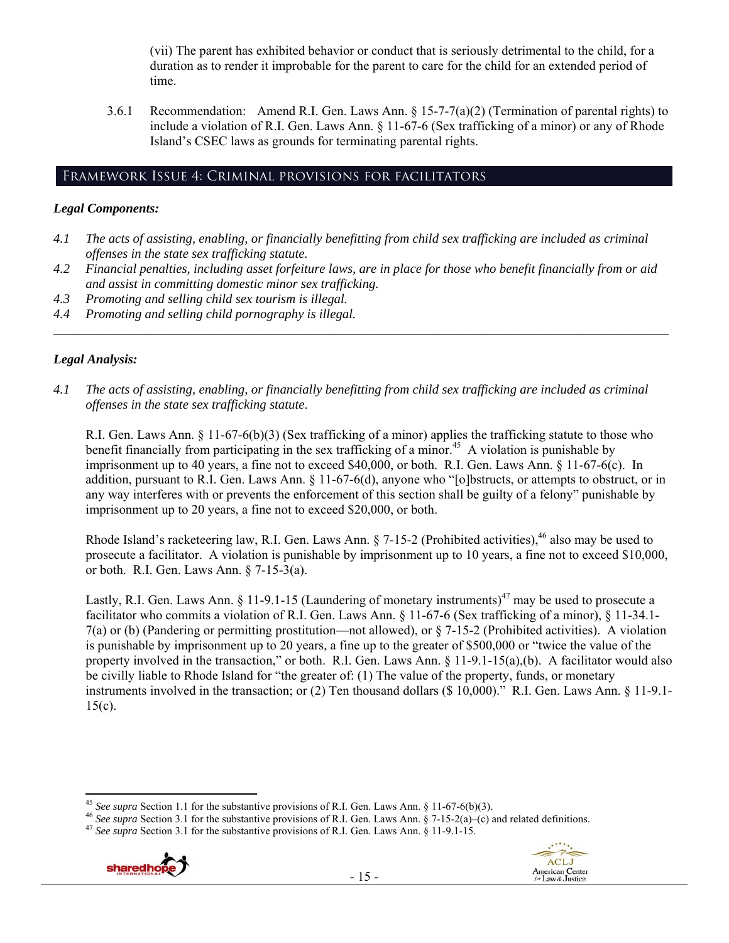(vii) The parent has exhibited behavior or conduct that is seriously detrimental to the child, for a duration as to render it improbable for the parent to care for the child for an extended period of time.

3.6.1 Recommendation: Amend R.I. Gen. Laws Ann. § 15-7-7(a)(2) (Termination of parental rights) to include a violation of R.I. Gen. Laws Ann. § 11-67-6 (Sex trafficking of a minor) or any of Rhode Island's CSEC laws as grounds for terminating parental rights.

# Framework Issue 4: Criminal provisions for facilitators

# *Legal Components:*

- *4.1 The acts of assisting, enabling, or financially benefitting from child sex trafficking are included as criminal offenses in the state sex trafficking statute.*
- *4.2 Financial penalties, including asset forfeiture laws, are in place for those who benefit financially from or aid and assist in committing domestic minor sex trafficking.*

*\_\_\_\_\_\_\_\_\_\_\_\_\_\_\_\_\_\_\_\_\_\_\_\_\_\_\_\_\_\_\_\_\_\_\_\_\_\_\_\_\_\_\_\_\_\_\_\_\_\_\_\_\_\_\_\_\_\_\_\_\_\_\_\_\_\_\_\_\_\_\_\_\_\_\_\_\_\_\_\_\_\_\_\_\_\_\_\_\_\_\_\_\_\_* 

- *4.3 Promoting and selling child sex tourism is illegal.*
- *4.4 Promoting and selling child pornography is illegal.*

# *Legal Analysis:*

*4.1 The acts of assisting, enabling, or financially benefitting from child sex trafficking are included as criminal offenses in the state sex trafficking statute*.

R.I. Gen. Laws Ann. § 11-67-6(b)(3) (Sex trafficking of a minor) applies the trafficking statute to those who benefit financially from participating in the sex trafficking of a minor.<sup>45</sup> A violation is punishable by imprisonment up to 40 years, a fine not to exceed \$40,000, or both. R.I. Gen. Laws Ann. § 11-67-6(c). In addition, pursuant to R.I. Gen. Laws Ann. § 11-67-6(d), anyone who "[o]bstructs, or attempts to obstruct, or in any way interferes with or prevents the enforcement of this section shall be guilty of a felony" punishable by imprisonment up to 20 years, a fine not to exceed \$20,000, or both.

Rhode Island's racketeering law, R.I. Gen. Laws Ann.  $\S$  7-15-2 (Prohibited activities),<sup>46</sup> also may be used to prosecute a facilitator. A violation is punishable by imprisonment up to 10 years, a fine not to exceed \$10,000, or both. R.I. Gen. Laws Ann. § 7-15-3(a).

Lastly, R.I. Gen. Laws Ann. § 11-9.1-15 (Laundering of monetary instruments)<sup>47</sup> may be used to prosecute a facilitator who commits a violation of R.I. Gen. Laws Ann. § 11-67-6 (Sex trafficking of a minor), § 11-34.1- 7(a) or (b) (Pandering or permitting prostitution—not allowed), or § 7-15-2 (Prohibited activities). A violation is punishable by imprisonment up to 20 years, a fine up to the greater of \$500,000 or "twice the value of the property involved in the transaction," or both. R.I. Gen. Laws Ann.  $\S 11-9.1-15(a)$ ,(b). A facilitator would also be civilly liable to Rhode Island for "the greater of: (1) The value of the property, funds, or monetary instruments involved in the transaction; or (2) Ten thousand dollars (\$ 10,000)." R.I. Gen. Laws Ann. § 11-9.1-  $15(c)$ .





<sup>&</sup>lt;sup>45</sup> See supra Section 1.1 for the substantive provisions of R.I. Gen. Laws Ann. § 11-67-6(b)(3).

<sup>&</sup>lt;sup>46</sup> See supra Section 3.1 for the substantive provisions of R.I. Gen. Laws Ann. § 7-15-2(a)–(c) and related definitions.<br><sup>47</sup> See supra Section 3.1 for the substantive provisions of R.I. Gen. Laws Ann. § 11-9.1-15.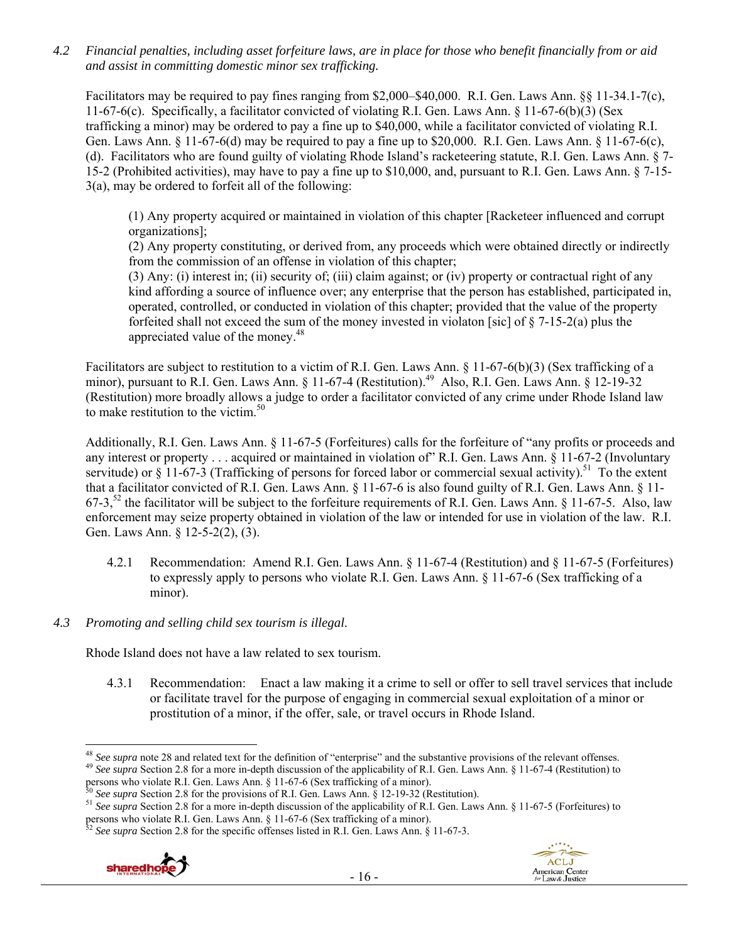*4.2 Financial penalties, including asset forfeiture laws, are in place for those who benefit financially from or aid and assist in committing domestic minor sex trafficking.* 

Facilitators may be required to pay fines ranging from \$2,000–\$40,000. R.I. Gen. Laws Ann. §§ 11-34.1-7(c), 11-67-6(c). Specifically, a facilitator convicted of violating R.I. Gen. Laws Ann. § 11-67-6(b)(3) (Sex trafficking a minor) may be ordered to pay a fine up to \$40,000, while a facilitator convicted of violating R.I. Gen. Laws Ann.  $\S$  11-67-6(d) may be required to pay a fine up to \$20,000. R.I. Gen. Laws Ann.  $\S$  11-67-6(c), (d). Facilitators who are found guilty of violating Rhode Island's racketeering statute, R.I. Gen. Laws Ann. § 7- 15-2 (Prohibited activities), may have to pay a fine up to \$10,000, and, pursuant to R.I. Gen. Laws Ann. § 7-15- 3(a), may be ordered to forfeit all of the following:

(1) Any property acquired or maintained in violation of this chapter [Racketeer influenced and corrupt organizations];

(2) Any property constituting, or derived from, any proceeds which were obtained directly or indirectly from the commission of an offense in violation of this chapter;

(3) Any: (i) interest in; (ii) security of; (iii) claim against; or (iv) property or contractual right of any kind affording a source of influence over; any enterprise that the person has established, participated in, operated, controlled, or conducted in violation of this chapter; provided that the value of the property forfeited shall not exceed the sum of the money invested in violaton [sic] of  $\S$  7-15-2(a) plus the appreciated value of the money.<sup>48</sup>

Facilitators are subject to restitution to a victim of R.I. Gen. Laws Ann. § 11-67-6(b)(3) (Sex trafficking of a minor), pursuant to R.I. Gen. Laws Ann. § 11-67-4 (Restitution).<sup>49</sup> Also, R.I. Gen. Laws Ann. § 12-19-32 (Restitution) more broadly allows a judge to order a facilitator convicted of any crime under Rhode Island law to make restitution to the victim.<sup>50</sup>

Additionally, R.I. Gen. Laws Ann. § 11-67-5 (Forfeitures) calls for the forfeiture of "any profits or proceeds and any interest or property . . . acquired or maintained in violation of" R.I. Gen. Laws Ann. § 11-67-2 (Involuntary servitude) or § 11-67-3 (Trafficking of persons for forced labor or commercial sexual activity).<sup>51</sup> To the extent that a facilitator convicted of R.I. Gen. Laws Ann. § 11-67-6 is also found guilty of R.I. Gen. Laws Ann. § 11- 67-3,<sup>52</sup> the facilitator will be subject to the forfeiture requirements of R.I. Gen. Laws Ann.  $\S$  11-67-5. Also, law enforcement may seize property obtained in violation of the law or intended for use in violation of the law. R.I. Gen. Laws Ann. § 12-5-2(2), (3).

- 4.2.1 Recommendation: Amend R.I. Gen. Laws Ann. § 11-67-4 (Restitution) and § 11-67-5 (Forfeitures) to expressly apply to persons who violate R.I. Gen. Laws Ann. § 11-67-6 (Sex trafficking of a minor).
- *4.3 Promoting and selling child sex tourism is illegal*.

Rhode Island does not have a law related to sex tourism.

4.3.1 Recommendation: Enact a law making it a crime to sell or offer to sell travel services that include or facilitate travel for the purpose of engaging in commercial sexual exploitation of a minor or prostitution of a minor, if the offer, sale, or travel occurs in Rhode Island.

<sup>49</sup> See supra Section 2.8 for a more in-depth discussion of the applicability of R.I. Gen. Laws Ann. § 11-67-4 (Restitution) to persons who violate R.I. Gen. Laws Ann. § 11-67-6 (Sex trafficking of a minor).





<sup>&</sup>lt;sup>48</sup> See supra note 28 and related text for the definition of "enterprise" and the substantive provisions of the relevant offenses.

<sup>&</sup>lt;sup>30</sup> See supra Section 2.8 for the provisions of R.I. Gen. Laws Ann. § 12-19-32 (Restitution).<br><sup>51</sup> See supra Section 2.8 for a more in-depth discussion of the applicability of R.I. Gen. Laws Ann. § 11-67-5 (Forfeitures) persons who violate R.I. Gen. Laws Ann. § 11-67-6 (Sex trafficking of a minor).<br><sup>52</sup> *See supra* Section 2.8 for the specific offenses listed in R.I. Gen. Laws Ann. § 11-67-3.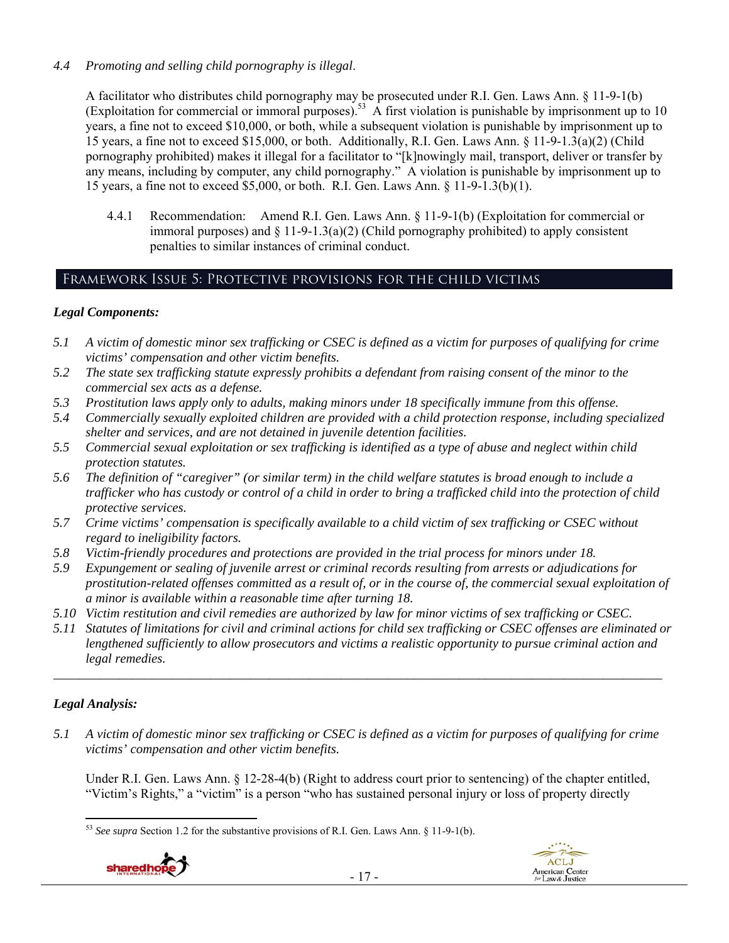# *4.4 Promoting and selling child pornography is illegal*.

A facilitator who distributes child pornography may be prosecuted under R.I. Gen. Laws Ann. § 11-9-1(b) (Exploitation for commercial or immoral purposes).<sup>53</sup> A first violation is punishable by imprisonment up to 10 years, a fine not to exceed \$10,000, or both, while a subsequent violation is punishable by imprisonment up to 15 years, a fine not to exceed \$15,000, or both. Additionally, R.I. Gen. Laws Ann. § 11-9-1.3(a)(2) (Child pornography prohibited) makes it illegal for a facilitator to "[k]nowingly mail, transport, deliver or transfer by any means, including by computer, any child pornography." A violation is punishable by imprisonment up to 15 years, a fine not to exceed \$5,000, or both. R.I. Gen. Laws Ann. § 11-9-1.3(b)(1).

4.4.1 Recommendation: Amend R.I. Gen. Laws Ann. § 11-9-1(b) (Exploitation for commercial or immoral purposes) and  $\S 11-9-1.3(a)(2)$  (Child pornography prohibited) to apply consistent penalties to similar instances of criminal conduct.

# Framework Issue 5: Protective provisions for the child victims

# *Legal Components:*

- *5.1 A victim of domestic minor sex trafficking or CSEC is defined as a victim for purposes of qualifying for crime victims' compensation and other victim benefits.*
- *5.2 The state sex trafficking statute expressly prohibits a defendant from raising consent of the minor to the commercial sex acts as a defense.*
- *5.3 Prostitution laws apply only to adults, making minors under 18 specifically immune from this offense.*
- *5.4 Commercially sexually exploited children are provided with a child protection response, including specialized shelter and services, and are not detained in juvenile detention facilities.*
- *5.5 Commercial sexual exploitation or sex trafficking is identified as a type of abuse and neglect within child protection statutes.*
- *5.6 The definition of "caregiver" (or similar term) in the child welfare statutes is broad enough to include a trafficker who has custody or control of a child in order to bring a trafficked child into the protection of child protective services.*
- *5.7 Crime victims' compensation is specifically available to a child victim of sex trafficking or CSEC without regard to ineligibility factors.*
- *5.8 Victim-friendly procedures and protections are provided in the trial process for minors under 18.*
- *5.9 Expungement or sealing of juvenile arrest or criminal records resulting from arrests or adjudications for prostitution-related offenses committed as a result of, or in the course of, the commercial sexual exploitation of a minor is available within a reasonable time after turning 18.*
- *5.10 Victim restitution and civil remedies are authorized by law for minor victims of sex trafficking or CSEC.*
- *5.11 Statutes of limitations for civil and criminal actions for child sex trafficking or CSEC offenses are eliminated or lengthened sufficiently to allow prosecutors and victims a realistic opportunity to pursue criminal action and legal remedies.*

*\_\_\_\_\_\_\_\_\_\_\_\_\_\_\_\_\_\_\_\_\_\_\_\_\_\_\_\_\_\_\_\_\_\_\_\_\_\_\_\_\_\_\_\_\_\_\_\_\_\_\_\_\_\_\_\_\_\_\_\_\_\_\_\_\_\_\_\_\_\_\_\_\_\_\_\_\_\_\_\_\_\_\_\_\_\_\_\_\_\_\_\_\_* 

# *Legal Analysis:*

*5.1 A victim of domestic minor sex trafficking or CSEC is defined as a victim for purposes of qualifying for crime victims' compensation and other victim benefits.* 

Under R.I. Gen. Laws Ann. § 12-28-4(b) (Right to address court prior to sentencing) of the chapter entitled, "Victim's Rights," a "victim" is a person "who has sustained personal injury or loss of property directly

 <sup>53</sup> *See supra* Section 1.2 for the substantive provisions of R.I. Gen. Laws Ann. § 11-9-1(b).

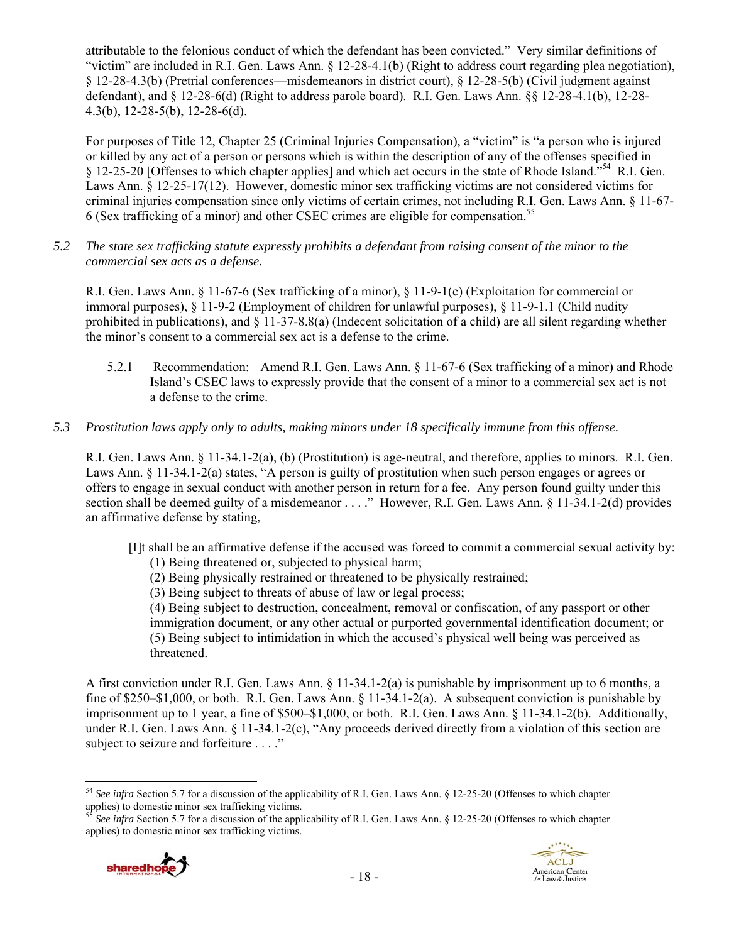attributable to the felonious conduct of which the defendant has been convicted." Very similar definitions of "victim" are included in R.I. Gen. Laws Ann. § 12-28-4.1(b) (Right to address court regarding plea negotiation), § 12-28-4.3(b) (Pretrial conferences—misdemeanors in district court), § 12-28-5(b) (Civil judgment against defendant), and  $\S$  12-28-6(d) (Right to address parole board). R.I. Gen. Laws Ann.  $\S$  12-28-4.1(b), 12-28-4.3(b), 12-28-5(b), 12-28-6(d).

For purposes of Title 12, Chapter 25 (Criminal Injuries Compensation), a "victim" is "a person who is injured or killed by any act of a person or persons which is within the description of any of the offenses specified in § 12-25-20 [Offenses to which chapter applies] and which act occurs in the state of Rhode Island."54 R.I. Gen. Laws Ann. § 12-25-17(12). However, domestic minor sex trafficking victims are not considered victims for criminal injuries compensation since only victims of certain crimes, not including R.I. Gen. Laws Ann. § 11-67- 6 (Sex trafficking of a minor) and other CSEC crimes are eligible for compensation.55

*5.2 The state sex trafficking statute expressly prohibits a defendant from raising consent of the minor to the commercial sex acts as a defense.* 

R.I. Gen. Laws Ann. § 11-67-6 (Sex trafficking of a minor), § 11-9-1(c) (Exploitation for commercial or immoral purposes), § 11-9-2 (Employment of children for unlawful purposes), § 11-9-1.1 (Child nudity prohibited in publications), and  $\S 11-37-8.8(a)$  (Indecent solicitation of a child) are all silent regarding whether the minor's consent to a commercial sex act is a defense to the crime.

5.2.1 Recommendation: Amend R.I. Gen. Laws Ann. § 11-67-6 (Sex trafficking of a minor) and Rhode Island's CSEC laws to expressly provide that the consent of a minor to a commercial sex act is not a defense to the crime.

# *5.3 Prostitution laws apply only to adults, making minors under 18 specifically immune from this offense.*

R.I. Gen. Laws Ann. § 11-34.1-2(a), (b) (Prostitution) is age-neutral, and therefore, applies to minors. R.I. Gen. Laws Ann. § 11-34.1-2(a) states, "A person is guilty of prostitution when such person engages or agrees or offers to engage in sexual conduct with another person in return for a fee. Any person found guilty under this section shall be deemed guilty of a misdemeanor . . . ." However, R.I. Gen. Laws Ann. § 11-34.1-2(d) provides an affirmative defense by stating,

[I]t shall be an affirmative defense if the accused was forced to commit a commercial sexual activity by:

- (1) Being threatened or, subjected to physical harm;
- (2) Being physically restrained or threatened to be physically restrained;
- (3) Being subject to threats of abuse of law or legal process;

(4) Being subject to destruction, concealment, removal or confiscation, of any passport or other immigration document, or any other actual or purported governmental identification document; or (5) Being subject to intimidation in which the accused's physical well being was perceived as threatened.

A first conviction under R.I. Gen. Laws Ann. § 11-34.1-2(a) is punishable by imprisonment up to 6 months, a fine of  $$250–$1,000$ , or both. R.I. Gen. Laws Ann.  $§$  11-34.1-2(a). A subsequent conviction is punishable by imprisonment up to 1 year, a fine of \$500–\$1,000, or both. R.I. Gen. Laws Ann. § 11-34.1-2(b). Additionally, under R.I. Gen. Laws Ann. § 11-34.1-2(c), "Any proceeds derived directly from a violation of this section are subject to seizure and forfeiture . . . ."

applies) to domestic minor sex trafficking victims.



 <sup>54</sup> See infra Section 5.7 for a discussion of the applicability of R.I. Gen. Laws Ann. § 12-25-20 (Offenses to which chapter applies) to domestic minor sex trafficking victims.<br><sup>55</sup> *See infra* Section 5.7 for a discussion of the applicability of R.I. Gen. Laws Ann. § 12-25-20 (Offenses to which chapter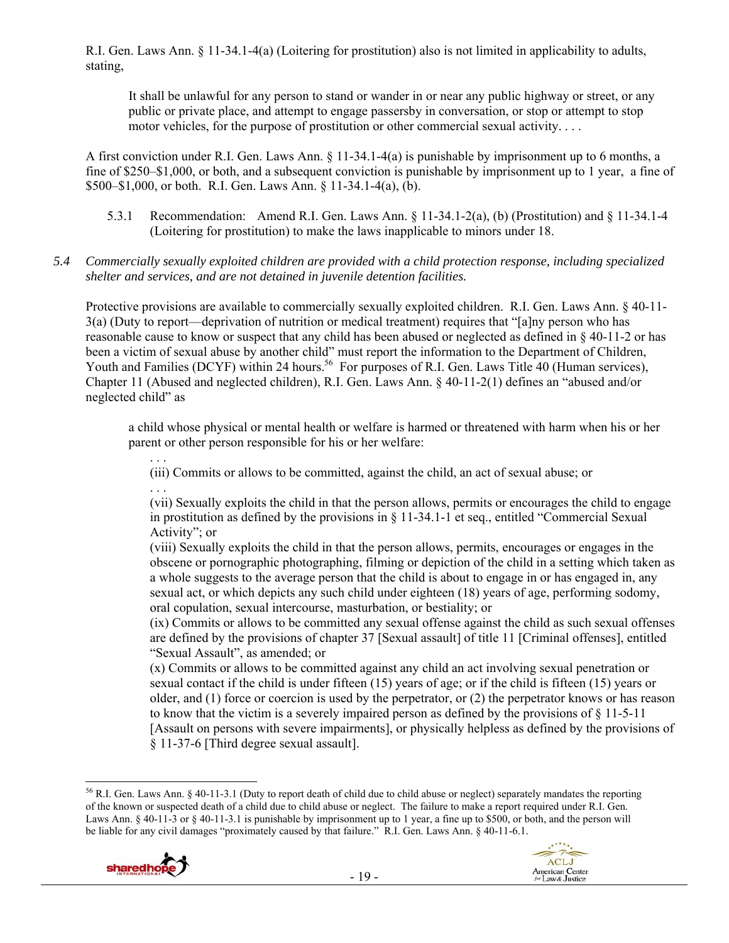R.I. Gen. Laws Ann. § 11-34.1-4(a) (Loitering for prostitution) also is not limited in applicability to adults, stating,

It shall be unlawful for any person to stand or wander in or near any public highway or street, or any public or private place, and attempt to engage passersby in conversation, or stop or attempt to stop motor vehicles, for the purpose of prostitution or other commercial sexual activity. . . .

A first conviction under R.I. Gen. Laws Ann. § 11-34.1-4(a) is punishable by imprisonment up to 6 months, a fine of \$250–\$1,000, or both, and a subsequent conviction is punishable by imprisonment up to 1 year, a fine of \$500–\$1,000, or both. R.I. Gen. Laws Ann. § 11-34.1-4(a), (b).

5.3.1 Recommendation: Amend R.I. Gen. Laws Ann. § 11-34.1-2(a), (b) (Prostitution) and § 11-34.1-4 (Loitering for prostitution) to make the laws inapplicable to minors under 18.

### *5.4 Commercially sexually exploited children are provided with a child protection response, including specialized shelter and services, and are not detained in juvenile detention facilities.*

Protective provisions are available to commercially sexually exploited children. R.I. Gen. Laws Ann. § 40-11- 3(a) (Duty to report—deprivation of nutrition or medical treatment) requires that "[a]ny person who has reasonable cause to know or suspect that any child has been abused or neglected as defined in § 40-11-2 or has been a victim of sexual abuse by another child" must report the information to the Department of Children, Youth and Families (DCYF) within 24 hours.<sup>56</sup> For purposes of R.I. Gen. Laws Title 40 (Human services), Chapter 11 (Abused and neglected children), R.I. Gen. Laws Ann. § 40-11-2(1) defines an "abused and/or neglected child" as

a child whose physical or mental health or welfare is harmed or threatened with harm when his or her parent or other person responsible for his or her welfare:

(iii) Commits or allows to be committed, against the child, an act of sexual abuse; or

. . . (vii) Sexually exploits the child in that the person allows, permits or encourages the child to engage in prostitution as defined by the provisions in § 11-34.1-1 et seq., entitled "Commercial Sexual Activity"; or

(viii) Sexually exploits the child in that the person allows, permits, encourages or engages in the obscene or pornographic photographing, filming or depiction of the child in a setting which taken as a whole suggests to the average person that the child is about to engage in or has engaged in, any sexual act, or which depicts any such child under eighteen (18) years of age, performing sodomy, oral copulation, sexual intercourse, masturbation, or bestiality; or

(ix) Commits or allows to be committed any sexual offense against the child as such sexual offenses are defined by the provisions of chapter 37 [Sexual assault] of title 11 [Criminal offenses], entitled "Sexual Assault", as amended; or

(x) Commits or allows to be committed against any child an act involving sexual penetration or sexual contact if the child is under fifteen (15) years of age; or if the child is fifteen (15) years or older, and (1) force or coercion is used by the perpetrator, or (2) the perpetrator knows or has reason to know that the victim is a severely impaired person as defined by the provisions of  $\S 11-5-11$ [Assault on persons with severe impairments], or physically helpless as defined by the provisions of § 11-37-6 [Third degree sexual assault].

  $56$  R.I. Gen. Laws Ann. § 40-11-3.1 (Duty to report death of child due to child abuse or neglect) separately mandates the reporting of the known or suspected death of a child due to child abuse or neglect. The failure to make a report required under R.I. Gen. Laws Ann. § 40-11-3 or § 40-11-3.1 is punishable by imprisonment up to 1 year, a fine up to \$500, or both, and the person will be liable for any civil damages "proximately caused by that failure." R.I. Gen. Laws Ann. § 40-11-6.1.



. . .

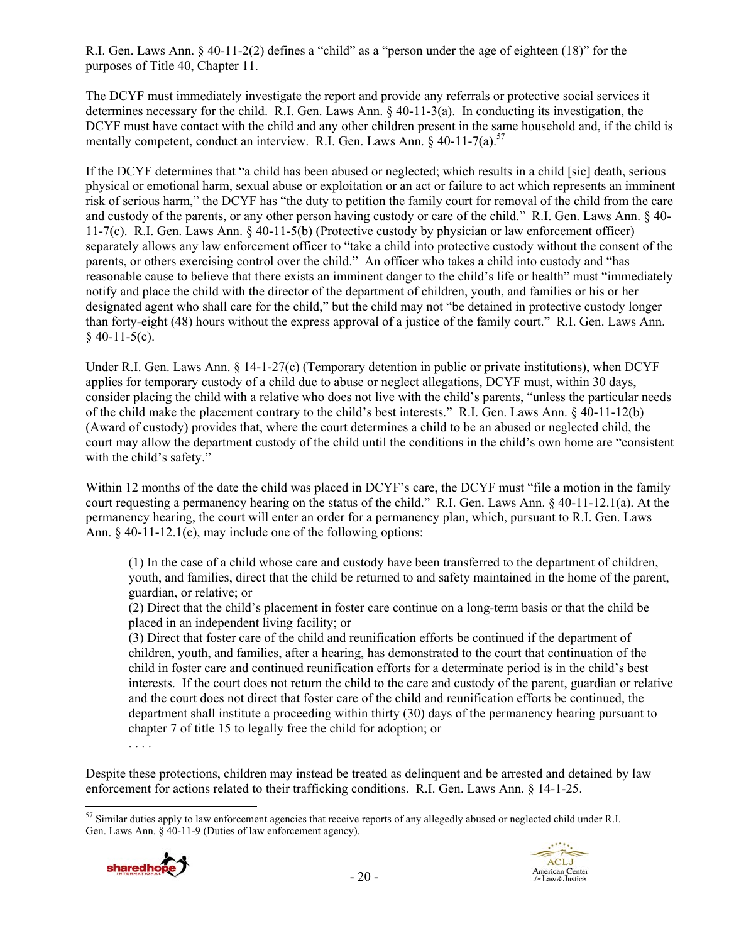R.I. Gen. Laws Ann. § 40-11-2(2) defines a "child" as a "person under the age of eighteen (18)" for the purposes of Title 40, Chapter 11.

The DCYF must immediately investigate the report and provide any referrals or protective social services it determines necessary for the child. R.I. Gen. Laws Ann. § 40-11-3(a). In conducting its investigation, the DCYF must have contact with the child and any other children present in the same household and, if the child is mentally competent, conduct an interview. R.I. Gen. Laws Ann.  $\frac{1}{2}$  40-11-7(a).<sup>57</sup>

If the DCYF determines that "a child has been abused or neglected; which results in a child [sic] death, serious physical or emotional harm, sexual abuse or exploitation or an act or failure to act which represents an imminent risk of serious harm," the DCYF has "the duty to petition the family court for removal of the child from the care and custody of the parents, or any other person having custody or care of the child." R.I. Gen. Laws Ann. § 40- 11-7(c). R.I. Gen. Laws Ann. § 40-11-5(b) (Protective custody by physician or law enforcement officer) separately allows any law enforcement officer to "take a child into protective custody without the consent of the parents, or others exercising control over the child." An officer who takes a child into custody and "has reasonable cause to believe that there exists an imminent danger to the child's life or health" must "immediately notify and place the child with the director of the department of children, youth, and families or his or her designated agent who shall care for the child," but the child may not "be detained in protective custody longer than forty-eight (48) hours without the express approval of a justice of the family court." R.I. Gen. Laws Ann.  $$40-11-5(c)$ .

Under R.I. Gen. Laws Ann. § 14-1-27(c) (Temporary detention in public or private institutions), when DCYF applies for temporary custody of a child due to abuse or neglect allegations, DCYF must, within 30 days, consider placing the child with a relative who does not live with the child's parents, "unless the particular needs of the child make the placement contrary to the child's best interests." R.I. Gen. Laws Ann. § 40-11-12(b) (Award of custody) provides that, where the court determines a child to be an abused or neglected child, the court may allow the department custody of the child until the conditions in the child's own home are "consistent with the child's safety."

Within 12 months of the date the child was placed in DCYF's care, the DCYF must "file a motion in the family court requesting a permanency hearing on the status of the child." R.I. Gen. Laws Ann. § 40-11-12.1(a). At the permanency hearing, the court will enter an order for a permanency plan, which, pursuant to R.I. Gen. Laws Ann. § 40-11-12.1(e), may include one of the following options:

(1) In the case of a child whose care and custody have been transferred to the department of children, youth, and families, direct that the child be returned to and safety maintained in the home of the parent, guardian, or relative; or

(2) Direct that the child's placement in foster care continue on a long-term basis or that the child be placed in an independent living facility; or

(3) Direct that foster care of the child and reunification efforts be continued if the department of children, youth, and families, after a hearing, has demonstrated to the court that continuation of the child in foster care and continued reunification efforts for a determinate period is in the child's best interests. If the court does not return the child to the care and custody of the parent, guardian or relative and the court does not direct that foster care of the child and reunification efforts be continued, the department shall institute a proceeding within thirty (30) days of the permanency hearing pursuant to chapter 7 of title 15 to legally free the child for adoption; or

. . . .

Despite these protections, children may instead be treated as delinquent and be arrested and detained by law enforcement for actions related to their trafficking conditions. R.I. Gen. Laws Ann. § 14-1-25.

  $57$  Similar duties apply to law enforcement agencies that receive reports of any allegedly abused or neglected child under R.I. Gen. Laws Ann. § 40-11-9 (Duties of law enforcement agency).

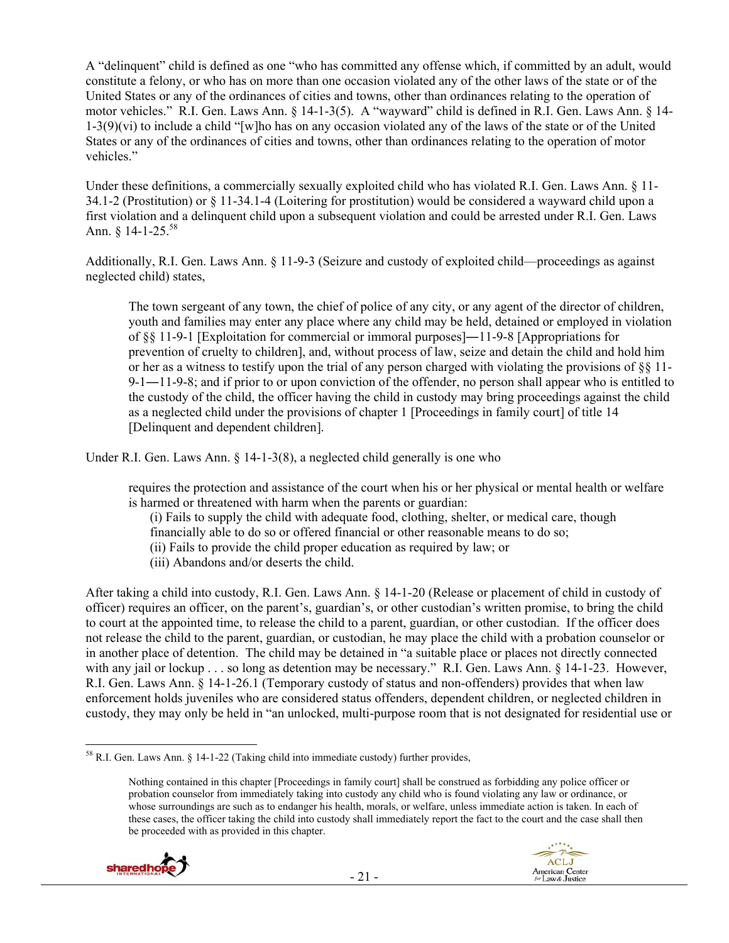A "delinquent" child is defined as one "who has committed any offense which, if committed by an adult, would constitute a felony, or who has on more than one occasion violated any of the other laws of the state or of the United States or any of the ordinances of cities and towns, other than ordinances relating to the operation of motor vehicles." R.I. Gen. Laws Ann. § 14-1-3(5). A "wayward" child is defined in R.I. Gen. Laws Ann. § 14- 1-3(9)(vi) to include a child "[w]ho has on any occasion violated any of the laws of the state or of the United States or any of the ordinances of cities and towns, other than ordinances relating to the operation of motor vehicles."

Under these definitions, a commercially sexually exploited child who has violated R.I. Gen. Laws Ann. § 11- 34.1-2 (Prostitution) or § 11-34.1-4 (Loitering for prostitution) would be considered a wayward child upon a first violation and a delinquent child upon a subsequent violation and could be arrested under R.I. Gen. Laws Ann.  $\text{8}$  14-1-25.<sup>58</sup>

Additionally, R.I. Gen. Laws Ann. § 11-9-3 (Seizure and custody of exploited child—proceedings as against neglected child) states,

The town sergeant of any town, the chief of police of any city, or any agent of the director of children, youth and families may enter any place where any child may be held, detained or employed in violation of §§ 11-9-1 [Exploitation for commercial or immoral purposes]―11-9-8 [Appropriations for prevention of cruelty to children], and, without process of law, seize and detain the child and hold him or her as a witness to testify upon the trial of any person charged with violating the provisions of §§ 11- 9-1―11-9-8; and if prior to or upon conviction of the offender, no person shall appear who is entitled to the custody of the child, the officer having the child in custody may bring proceedings against the child as a neglected child under the provisions of chapter 1 [Proceedings in family court] of title 14 [Delinquent and dependent children].

Under R.I. Gen. Laws Ann. § 14-1-3(8), a neglected child generally is one who

requires the protection and assistance of the court when his or her physical or mental health or welfare is harmed or threatened with harm when the parents or guardian:

(i) Fails to supply the child with adequate food, clothing, shelter, or medical care, though

financially able to do so or offered financial or other reasonable means to do so;

- (ii) Fails to provide the child proper education as required by law; or
- (iii) Abandons and/or deserts the child.

After taking a child into custody, R.I. Gen. Laws Ann. § 14-1-20 (Release or placement of child in custody of officer) requires an officer, on the parent's, guardian's, or other custodian's written promise, to bring the child to court at the appointed time, to release the child to a parent, guardian, or other custodian. If the officer does not release the child to the parent, guardian, or custodian, he may place the child with a probation counselor or in another place of detention. The child may be detained in "a suitable place or places not directly connected with any jail or lockup . . . so long as detention may be necessary." R.I. Gen. Laws Ann. § 14-1-23. However, R.I. Gen. Laws Ann. § 14-1-26.1 (Temporary custody of status and non-offenders) provides that when law enforcement holds juveniles who are considered status offenders, dependent children, or neglected children in custody, they may only be held in "an unlocked, multi-purpose room that is not designated for residential use or

Nothing contained in this chapter [Proceedings in family court] shall be construed as forbidding any police officer or probation counselor from immediately taking into custody any child who is found violating any law or ordinance, or whose surroundings are such as to endanger his health, morals, or welfare, unless immediate action is taken. In each of these cases, the officer taking the child into custody shall immediately report the fact to the court and the case shall then be proceeded with as provided in this chapter.



 58 R.I. Gen. Laws Ann. § 14-1-22 (Taking child into immediate custody) further provides,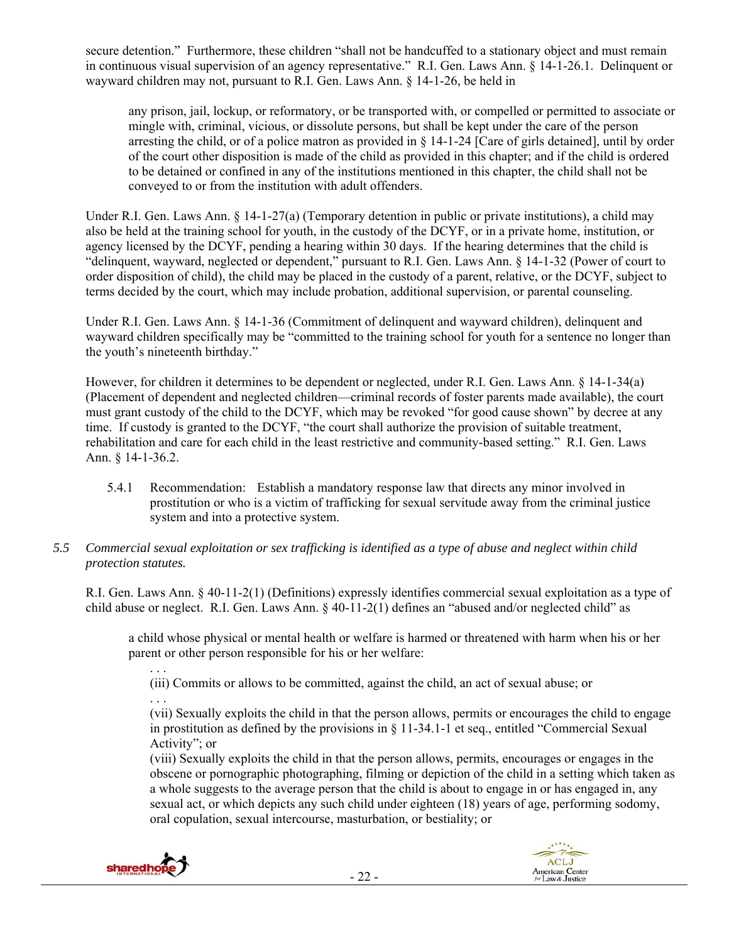secure detention." Furthermore, these children "shall not be handcuffed to a stationary object and must remain in continuous visual supervision of an agency representative." R.I. Gen. Laws Ann. § 14-1-26.1. Delinquent or wayward children may not, pursuant to R.I. Gen. Laws Ann. § 14-1-26, be held in

any prison, jail, lockup, or reformatory, or be transported with, or compelled or permitted to associate or mingle with, criminal, vicious, or dissolute persons, but shall be kept under the care of the person arresting the child, or of a police matron as provided in  $\S$  14-1-24 [Care of girls detained], until by order of the court other disposition is made of the child as provided in this chapter; and if the child is ordered to be detained or confined in any of the institutions mentioned in this chapter, the child shall not be conveyed to or from the institution with adult offenders.

Under R.I. Gen. Laws Ann. § 14-1-27(a) (Temporary detention in public or private institutions), a child may also be held at the training school for youth, in the custody of the DCYF, or in a private home, institution, or agency licensed by the DCYF, pending a hearing within 30 days. If the hearing determines that the child is "delinquent, wayward, neglected or dependent," pursuant to R.I. Gen. Laws Ann. § 14-1-32 (Power of court to order disposition of child), the child may be placed in the custody of a parent, relative, or the DCYF, subject to terms decided by the court, which may include probation, additional supervision, or parental counseling.

Under R.I. Gen. Laws Ann. § 14-1-36 (Commitment of delinquent and wayward children), delinquent and wayward children specifically may be "committed to the training school for youth for a sentence no longer than the youth's nineteenth birthday."

However, for children it determines to be dependent or neglected, under R.I. Gen. Laws Ann. § 14-1-34(a) (Placement of dependent and neglected children—criminal records of foster parents made available), the court must grant custody of the child to the DCYF, which may be revoked "for good cause shown" by decree at any time. If custody is granted to the DCYF, "the court shall authorize the provision of suitable treatment, rehabilitation and care for each child in the least restrictive and community-based setting." R.I. Gen. Laws Ann. § 14-1-36.2.

- 5.4.1 Recommendation: Establish a mandatory response law that directs any minor involved in prostitution or who is a victim of trafficking for sexual servitude away from the criminal justice system and into a protective system.
- *5.5 Commercial sexual exploitation or sex trafficking is identified as a type of abuse and neglect within child protection statutes.*

R.I. Gen. Laws Ann. § 40-11-2(1) (Definitions) expressly identifies commercial sexual exploitation as a type of child abuse or neglect. R.I. Gen. Laws Ann. § 40-11-2(1) defines an "abused and/or neglected child" as

a child whose physical or mental health or welfare is harmed or threatened with harm when his or her parent or other person responsible for his or her welfare:

(iii) Commits or allows to be committed, against the child, an act of sexual abuse; or

. . . (vii) Sexually exploits the child in that the person allows, permits or encourages the child to engage in prostitution as defined by the provisions in § 11-34.1-1 et seq., entitled "Commercial Sexual Activity"; or

(viii) Sexually exploits the child in that the person allows, permits, encourages or engages in the obscene or pornographic photographing, filming or depiction of the child in a setting which taken as a whole suggests to the average person that the child is about to engage in or has engaged in, any sexual act, or which depicts any such child under eighteen (18) years of age, performing sodomy, oral copulation, sexual intercourse, masturbation, or bestiality; or



. . .

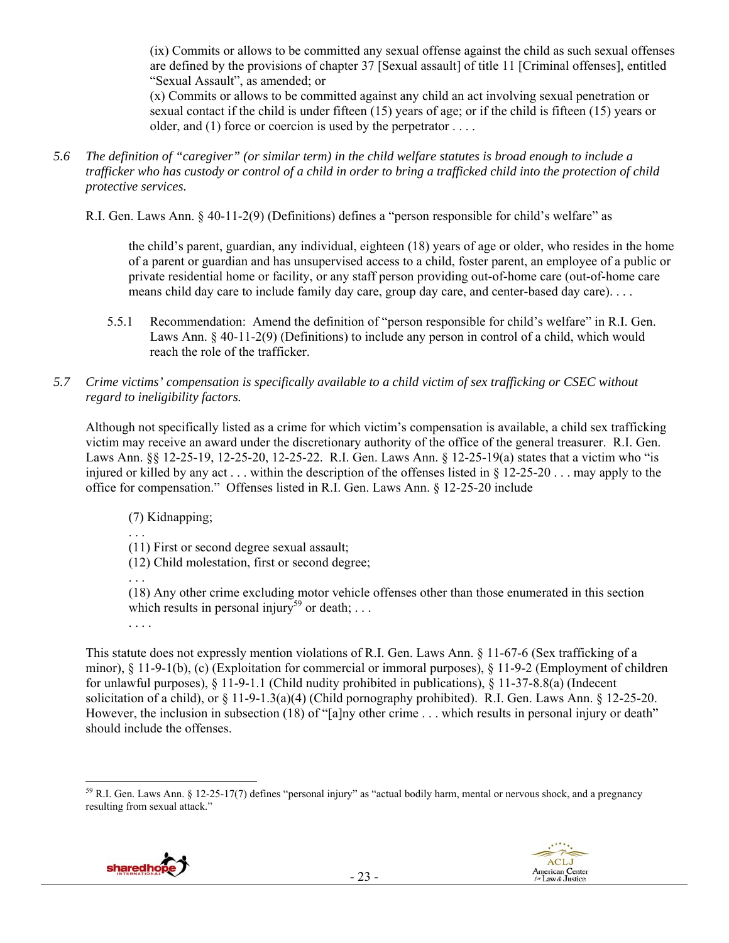(ix) Commits or allows to be committed any sexual offense against the child as such sexual offenses are defined by the provisions of chapter 37 [Sexual assault] of title 11 [Criminal offenses], entitled "Sexual Assault", as amended; or

(x) Commits or allows to be committed against any child an act involving sexual penetration or sexual contact if the child is under fifteen (15) years of age; or if the child is fifteen (15) years or older, and (1) force or coercion is used by the perpetrator ...

*5.6 The definition of "caregiver" (or similar term) in the child welfare statutes is broad enough to include a trafficker who has custody or control of a child in order to bring a trafficked child into the protection of child protective services.* 

R.I. Gen. Laws Ann. § 40-11-2(9) (Definitions) defines a "person responsible for child's welfare" as

the child's parent, guardian, any individual, eighteen (18) years of age or older, who resides in the home of a parent or guardian and has unsupervised access to a child, foster parent, an employee of a public or private residential home or facility, or any staff person providing out-of-home care (out-of-home care means child day care to include family day care, group day care, and center-based day care). . . .

5.5.1 Recommendation: Amend the definition of "person responsible for child's welfare" in R.I. Gen. Laws Ann. § 40-11-2(9) (Definitions) to include any person in control of a child, which would reach the role of the trafficker.

### *5.7 Crime victims' compensation is specifically available to a child victim of sex trafficking or CSEC without regard to ineligibility factors.*

Although not specifically listed as a crime for which victim's compensation is available, a child sex trafficking victim may receive an award under the discretionary authority of the office of the general treasurer. R.I. Gen. Laws Ann. §§ 12-25-19, 12-25-20, 12-25-22. R.I. Gen. Laws Ann. § 12-25-19(a) states that a victim who "is injured or killed by any act . . . within the description of the offenses listed in § 12-25-20 . . . may apply to the office for compensation." Offenses listed in R.I. Gen. Laws Ann. § 12-25-20 include

(7) Kidnapping;

. . .

. . .

(11) First or second degree sexual assault;

(12) Child molestation, first or second degree;

(18) Any other crime excluding motor vehicle offenses other than those enumerated in this section which results in personal injury<sup>59</sup> or death; ... . . . .

This statute does not expressly mention violations of R.I. Gen. Laws Ann. § 11-67-6 (Sex trafficking of a minor), § 11-9-1(b), (c) (Exploitation for commercial or immoral purposes), § 11-9-2 (Employment of children for unlawful purposes), § 11-9-1.1 (Child nudity prohibited in publications), § 11-37-8.8(a) (Indecent solicitation of a child), or § 11-9-1.3(a)(4) (Child pornography prohibited). R.I. Gen. Laws Ann. § 12-25-20. However, the inclusion in subsection (18) of "[a]ny other crime . . . which results in personal injury or death" should include the offenses.

  $^{59}$  R.I. Gen. Laws Ann. § 12-25-17(7) defines "personal injury" as "actual bodily harm, mental or nervous shock, and a pregnancy resulting from sexual attack."



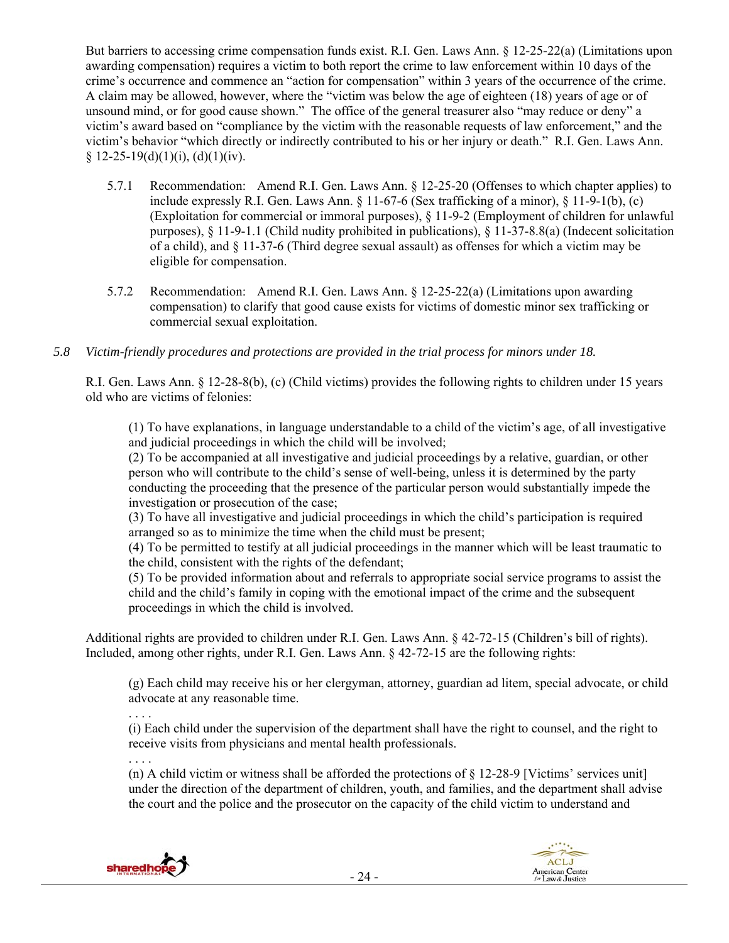But barriers to accessing crime compensation funds exist. R.I. Gen. Laws Ann. § 12-25-22(a) (Limitations upon awarding compensation) requires a victim to both report the crime to law enforcement within 10 days of the crime's occurrence and commence an "action for compensation" within 3 years of the occurrence of the crime. A claim may be allowed, however, where the "victim was below the age of eighteen (18) years of age or of unsound mind, or for good cause shown." The office of the general treasurer also "may reduce or deny" a victim's award based on "compliance by the victim with the reasonable requests of law enforcement," and the victim's behavior "which directly or indirectly contributed to his or her injury or death." R.I. Gen. Laws Ann. § 12-25-19(d)(1)(i), (d)(1)(iv).

- 5.7.1 Recommendation: Amend R.I. Gen. Laws Ann. § 12-25-20 (Offenses to which chapter applies) to include expressly R.I. Gen. Laws Ann.  $\S 11-67-6$  (Sex trafficking of a minor),  $\S 11-9-1(b)$ , (c) (Exploitation for commercial or immoral purposes), § 11-9-2 (Employment of children for unlawful purposes), § 11-9-1.1 (Child nudity prohibited in publications), § 11-37-8.8(a) (Indecent solicitation of a child), and § 11-37-6 (Third degree sexual assault) as offenses for which a victim may be eligible for compensation.
- 5.7.2 Recommendation: Amend R.I. Gen. Laws Ann. § 12-25-22(a) (Limitations upon awarding compensation) to clarify that good cause exists for victims of domestic minor sex trafficking or commercial sexual exploitation.
- *5.8 Victim-friendly procedures and protections are provided in the trial process for minors under 18.*

R.I. Gen. Laws Ann. § 12-28-8(b), (c) (Child victims) provides the following rights to children under 15 years old who are victims of felonies:

(1) To have explanations, in language understandable to a child of the victim's age, of all investigative and judicial proceedings in which the child will be involved;

(2) To be accompanied at all investigative and judicial proceedings by a relative, guardian, or other person who will contribute to the child's sense of well-being, unless it is determined by the party conducting the proceeding that the presence of the particular person would substantially impede the investigation or prosecution of the case;

(3) To have all investigative and judicial proceedings in which the child's participation is required arranged so as to minimize the time when the child must be present;

(4) To be permitted to testify at all judicial proceedings in the manner which will be least traumatic to the child, consistent with the rights of the defendant;

(5) To be provided information about and referrals to appropriate social service programs to assist the child and the child's family in coping with the emotional impact of the crime and the subsequent proceedings in which the child is involved.

Additional rights are provided to children under R.I. Gen. Laws Ann. § 42-72-15 (Children's bill of rights). Included, among other rights, under R.I. Gen. Laws Ann. § 42-72-15 are the following rights:

(g) Each child may receive his or her clergyman, attorney, guardian ad litem, special advocate, or child advocate at any reasonable time.

. . . . (i) Each child under the supervision of the department shall have the right to counsel, and the right to receive visits from physicians and mental health professionals.

. . . . (n) A child victim or witness shall be afforded the protections of  $\S$  12-28-9 [Victims' services unit] under the direction of the department of children, youth, and families, and the department shall advise the court and the police and the prosecutor on the capacity of the child victim to understand and

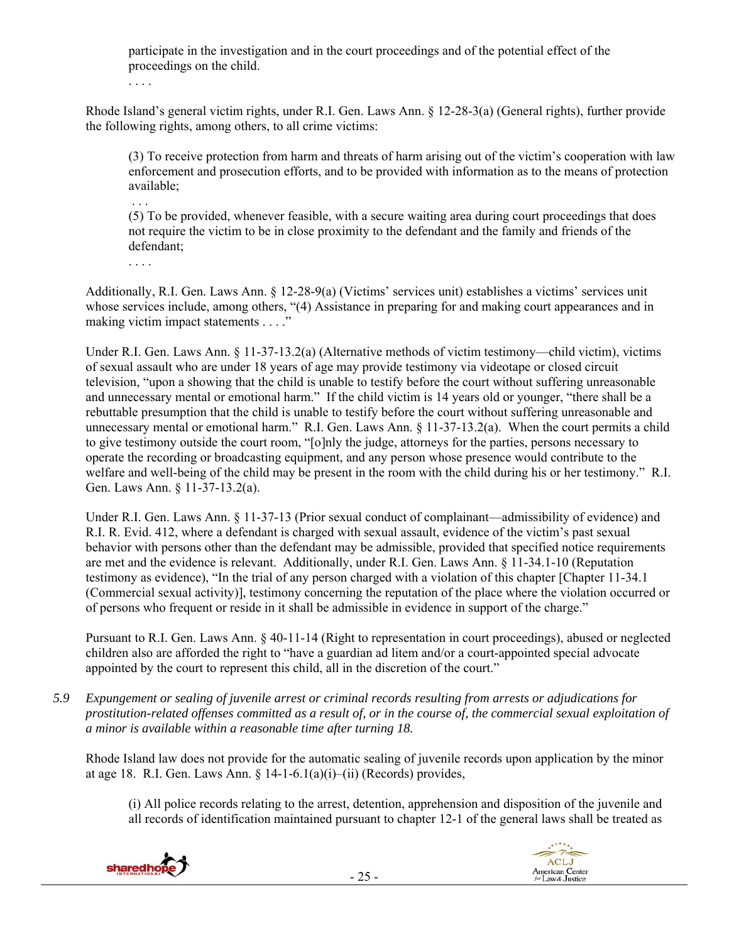participate in the investigation and in the court proceedings and of the potential effect of the proceedings on the child.

. . . .

Rhode Island's general victim rights, under R.I. Gen. Laws Ann. § 12-28-3(a) (General rights), further provide the following rights, among others, to all crime victims:

(3) To receive protection from harm and threats of harm arising out of the victim's cooperation with law enforcement and prosecution efforts, and to be provided with information as to the means of protection available;

(5) To be provided, whenever feasible, with a secure waiting area during court proceedings that does not require the victim to be in close proximity to the defendant and the family and friends of the defendant;

. . . .

. . .

Additionally, R.I. Gen. Laws Ann. § 12-28-9(a) (Victims' services unit) establishes a victims' services unit whose services include, among others, "(4) Assistance in preparing for and making court appearances and in making victim impact statements . . . ."

Under R.I. Gen. Laws Ann. § 11-37-13.2(a) (Alternative methods of victim testimony—child victim), victims of sexual assault who are under 18 years of age may provide testimony via videotape or closed circuit television, "upon a showing that the child is unable to testify before the court without suffering unreasonable and unnecessary mental or emotional harm." If the child victim is 14 years old or younger, "there shall be a rebuttable presumption that the child is unable to testify before the court without suffering unreasonable and unnecessary mental or emotional harm." R.I. Gen. Laws Ann. § 11-37-13.2(a). When the court permits a child to give testimony outside the court room, "[o]nly the judge, attorneys for the parties, persons necessary to operate the recording or broadcasting equipment, and any person whose presence would contribute to the welfare and well-being of the child may be present in the room with the child during his or her testimony." R.I. Gen. Laws Ann. § 11-37-13.2(a).

Under R.I. Gen. Laws Ann. § 11-37-13 (Prior sexual conduct of complainant—admissibility of evidence) and R.I. R. Evid. 412, where a defendant is charged with sexual assault, evidence of the victim's past sexual behavior with persons other than the defendant may be admissible, provided that specified notice requirements are met and the evidence is relevant. Additionally, under R.I. Gen. Laws Ann. § 11-34.1-10 (Reputation testimony as evidence), "In the trial of any person charged with a violation of this chapter [Chapter 11-34.1 (Commercial sexual activity)], testimony concerning the reputation of the place where the violation occurred or of persons who frequent or reside in it shall be admissible in evidence in support of the charge."

Pursuant to R.I. Gen. Laws Ann. § 40-11-14 (Right to representation in court proceedings), abused or neglected children also are afforded the right to "have a guardian ad litem and/or a court-appointed special advocate appointed by the court to represent this child, all in the discretion of the court."

*5.9 Expungement or sealing of juvenile arrest or criminal records resulting from arrests or adjudications for prostitution-related offenses committed as a result of, or in the course of, the commercial sexual exploitation of a minor is available within a reasonable time after turning 18.* 

Rhode Island law does not provide for the automatic sealing of juvenile records upon application by the minor at age 18. R.I. Gen. Laws Ann. § 14-1-6.1(a)(i)–(ii) (Records) provides,

(i) All police records relating to the arrest, detention, apprehension and disposition of the juvenile and all records of identification maintained pursuant to chapter 12-1 of the general laws shall be treated as

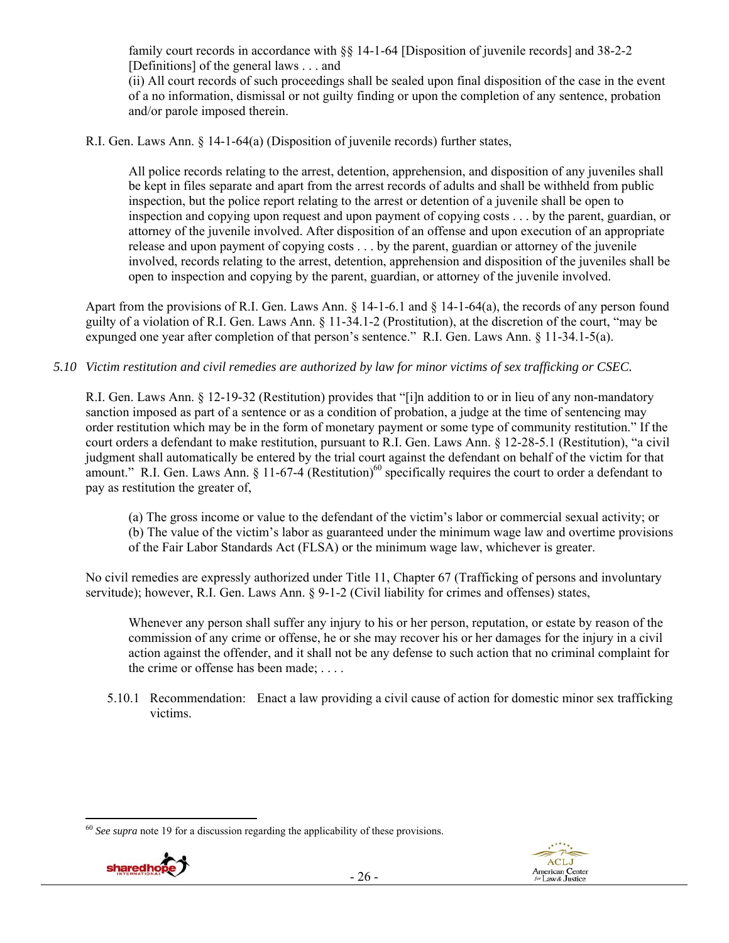family court records in accordance with §§ 14-1-64 [Disposition of juvenile records] and 38-2-2 [Definitions] of the general laws . . . and

(ii) All court records of such proceedings shall be sealed upon final disposition of the case in the event of a no information, dismissal or not guilty finding or upon the completion of any sentence, probation and/or parole imposed therein.

R.I. Gen. Laws Ann. § 14-1-64(a) (Disposition of juvenile records) further states,

All police records relating to the arrest, detention, apprehension, and disposition of any juveniles shall be kept in files separate and apart from the arrest records of adults and shall be withheld from public inspection, but the police report relating to the arrest or detention of a juvenile shall be open to inspection and copying upon request and upon payment of copying costs . . . by the parent, guardian, or attorney of the juvenile involved. After disposition of an offense and upon execution of an appropriate release and upon payment of copying costs . . . by the parent, guardian or attorney of the juvenile involved, records relating to the arrest, detention, apprehension and disposition of the juveniles shall be open to inspection and copying by the parent, guardian, or attorney of the juvenile involved.

Apart from the provisions of R.I. Gen. Laws Ann. § 14-1-6.1 and § 14-1-64(a), the records of any person found guilty of a violation of R.I. Gen. Laws Ann. § 11-34.1-2 (Prostitution), at the discretion of the court, "may be expunged one year after completion of that person's sentence." R.I. Gen. Laws Ann. § 11-34.1-5(a).

# *5.10 Victim restitution and civil remedies are authorized by law for minor victims of sex trafficking or CSEC.*

R.I. Gen. Laws Ann. § 12-19-32 (Restitution) provides that "[i]n addition to or in lieu of any non-mandatory sanction imposed as part of a sentence or as a condition of probation, a judge at the time of sentencing may order restitution which may be in the form of monetary payment or some type of community restitution." If the court orders a defendant to make restitution, pursuant to R.I. Gen. Laws Ann. § 12-28-5.1 (Restitution), "a civil judgment shall automatically be entered by the trial court against the defendant on behalf of the victim for that amount." R.I. Gen. Laws Ann. § 11-67-4 (Restitution)<sup>60</sup> specifically requires the court to order a defendant to pay as restitution the greater of,

(a) The gross income or value to the defendant of the victim's labor or commercial sexual activity; or (b) The value of the victim's labor as guaranteed under the minimum wage law and overtime provisions of the Fair Labor Standards Act (FLSA) or the minimum wage law, whichever is greater.

No civil remedies are expressly authorized under Title 11, Chapter 67 (Trafficking of persons and involuntary servitude); however, R.I. Gen. Laws Ann. § 9-1-2 (Civil liability for crimes and offenses) states,

Whenever any person shall suffer any injury to his or her person, reputation, or estate by reason of the commission of any crime or offense, he or she may recover his or her damages for the injury in a civil action against the offender, and it shall not be any defense to such action that no criminal complaint for the crime or offense has been made; . . . .

5.10.1 Recommendation: Enact a law providing a civil cause of action for domestic minor sex trafficking victims.

 <sup>60</sup> *See supra* note 19 for a discussion regarding the applicability of these provisions.

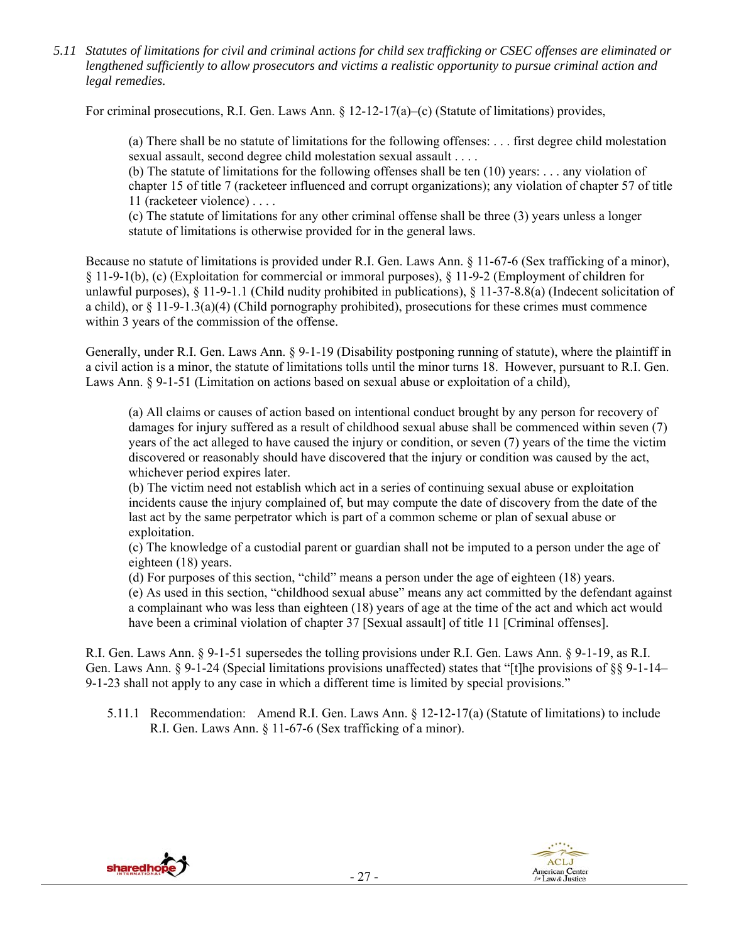*5.11 Statutes of limitations for civil and criminal actions for child sex trafficking or CSEC offenses are eliminated or lengthened sufficiently to allow prosecutors and victims a realistic opportunity to pursue criminal action and legal remedies.* 

For criminal prosecutions, R.I. Gen. Laws Ann. § 12-12-17(a)–(c) (Statute of limitations) provides,

(a) There shall be no statute of limitations for the following offenses: . . . first degree child molestation sexual assault, second degree child molestation sexual assault . . . .

(b) The statute of limitations for the following offenses shall be ten (10) years: . . . any violation of chapter 15 of title 7 (racketeer influenced and corrupt organizations); any violation of chapter 57 of title 11 (racketeer violence) . . . .

(c) The statute of limitations for any other criminal offense shall be three (3) years unless a longer statute of limitations is otherwise provided for in the general laws.

Because no statute of limitations is provided under R.I. Gen. Laws Ann. § 11-67-6 (Sex trafficking of a minor), § 11-9-1(b), (c) (Exploitation for commercial or immoral purposes), § 11-9-2 (Employment of children for unlawful purposes), § 11-9-1.1 (Child nudity prohibited in publications), § 11-37-8.8(a) (Indecent solicitation of a child), or  $\S 11-9-1.3(a)(4)$  (Child pornography prohibited), prosecutions for these crimes must commence within 3 years of the commission of the offense.

Generally, under R.I. Gen. Laws Ann. § 9-1-19 (Disability postponing running of statute), where the plaintiff in a civil action is a minor, the statute of limitations tolls until the minor turns 18. However, pursuant to R.I. Gen. Laws Ann. § 9-1-51 (Limitation on actions based on sexual abuse or exploitation of a child),

(a) All claims or causes of action based on intentional conduct brought by any person for recovery of damages for injury suffered as a result of childhood sexual abuse shall be commenced within seven (7) years of the act alleged to have caused the injury or condition, or seven (7) years of the time the victim discovered or reasonably should have discovered that the injury or condition was caused by the act, whichever period expires later.

(b) The victim need not establish which act in a series of continuing sexual abuse or exploitation incidents cause the injury complained of, but may compute the date of discovery from the date of the last act by the same perpetrator which is part of a common scheme or plan of sexual abuse or exploitation.

(c) The knowledge of a custodial parent or guardian shall not be imputed to a person under the age of eighteen (18) years.

(d) For purposes of this section, "child" means a person under the age of eighteen (18) years. (e) As used in this section, "childhood sexual abuse" means any act committed by the defendant against

a complainant who was less than eighteen (18) years of age at the time of the act and which act would have been a criminal violation of chapter 37 [Sexual assault] of title 11 [Criminal offenses].

R.I. Gen. Laws Ann. § 9-1-51 supersedes the tolling provisions under R.I. Gen. Laws Ann. § 9-1-19, as R.I. Gen. Laws Ann. § 9-1-24 (Special limitations provisions unaffected) states that "[t]he provisions of §§ 9-1-14– 9-1-23 shall not apply to any case in which a different time is limited by special provisions."

5.11.1 Recommendation: Amend R.I. Gen. Laws Ann. § 12-12-17(a) (Statute of limitations) to include R.I. Gen. Laws Ann. § 11-67-6 (Sex trafficking of a minor).



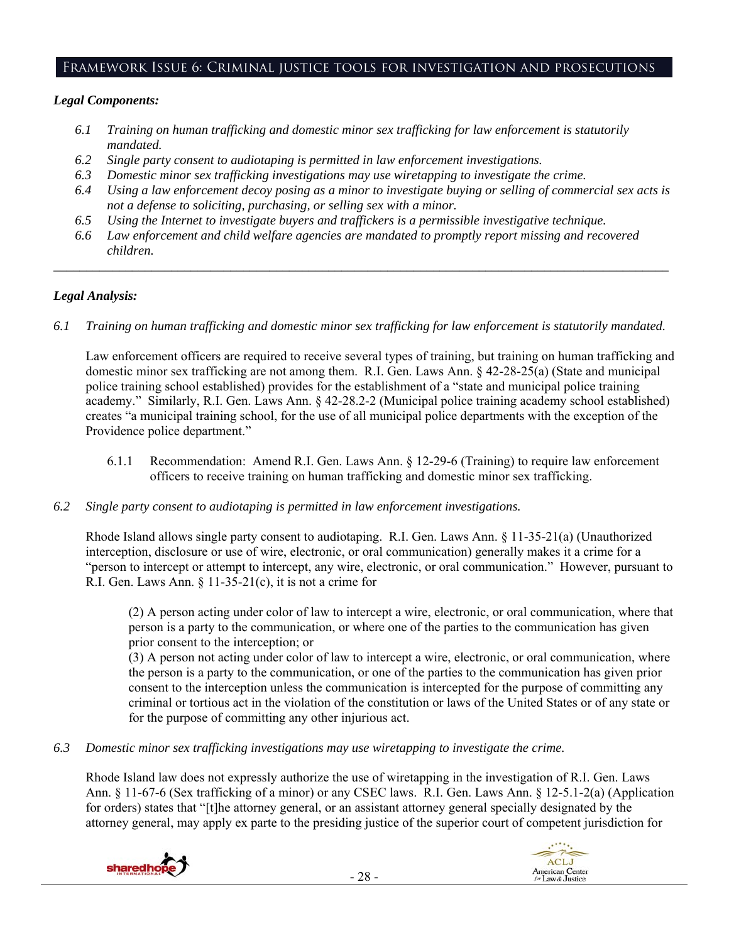# Framework Issue 6: Criminal justice tools for investigation and prosecutions

### *Legal Components:*

- *6.1 Training on human trafficking and domestic minor sex trafficking for law enforcement is statutorily mandated.*
- *6.2 Single party consent to audiotaping is permitted in law enforcement investigations.*
- *6.3 Domestic minor sex trafficking investigations may use wiretapping to investigate the crime.*
- *6.4 Using a law enforcement decoy posing as a minor to investigate buying or selling of commercial sex acts is not a defense to soliciting, purchasing, or selling sex with a minor.*
- *6.5 Using the Internet to investigate buyers and traffickers is a permissible investigative technique.*
- *6.6 Law enforcement and child welfare agencies are mandated to promptly report missing and recovered children.*

*\_\_\_\_\_\_\_\_\_\_\_\_\_\_\_\_\_\_\_\_\_\_\_\_\_\_\_\_\_\_\_\_\_\_\_\_\_\_\_\_\_\_\_\_\_\_\_\_\_\_\_\_\_\_\_\_\_\_\_\_\_\_\_\_\_\_\_\_\_\_\_\_\_\_\_\_\_\_\_\_\_\_\_\_\_\_\_\_\_\_\_\_\_\_* 

# *Legal Analysis:*

*6.1 Training on human trafficking and domestic minor sex trafficking for law enforcement is statutorily mandated.*

Law enforcement officers are required to receive several types of training, but training on human trafficking and domestic minor sex trafficking are not among them. R.I. Gen. Laws Ann. § 42-28-25(a) (State and municipal police training school established) provides for the establishment of a "state and municipal police training academy." Similarly, R.I. Gen. Laws Ann. § 42-28.2-2 (Municipal police training academy school established) creates "a municipal training school, for the use of all municipal police departments with the exception of the Providence police department."

- 6.1.1 Recommendation: Amend R.I. Gen. Laws Ann. § 12-29-6 (Training) to require law enforcement officers to receive training on human trafficking and domestic minor sex trafficking.
- *6.2 Single party consent to audiotaping is permitted in law enforcement investigations.*

Rhode Island allows single party consent to audiotaping. R.I. Gen. Laws Ann. § 11-35-21(a) (Unauthorized interception, disclosure or use of wire, electronic, or oral communication) generally makes it a crime for a "person to intercept or attempt to intercept, any wire, electronic, or oral communication." However, pursuant to R.I. Gen. Laws Ann.  $\S 11-35-21(c)$ , it is not a crime for

(2) A person acting under color of law to intercept a wire, electronic, or oral communication, where that person is a party to the communication, or where one of the parties to the communication has given prior consent to the interception; or

(3) A person not acting under color of law to intercept a wire, electronic, or oral communication, where the person is a party to the communication, or one of the parties to the communication has given prior consent to the interception unless the communication is intercepted for the purpose of committing any criminal or tortious act in the violation of the constitution or laws of the United States or of any state or for the purpose of committing any other injurious act.

*6.3 Domestic minor sex trafficking investigations may use wiretapping to investigate the crime.* 

Rhode Island law does not expressly authorize the use of wiretapping in the investigation of R.I. Gen. Laws Ann. § 11-67-6 (Sex trafficking of a minor) or any CSEC laws. R.I. Gen. Laws Ann. § 12-5.1-2(a) (Application for orders) states that "[t]he attorney general, or an assistant attorney general specially designated by the attorney general, may apply ex parte to the presiding justice of the superior court of competent jurisdiction for



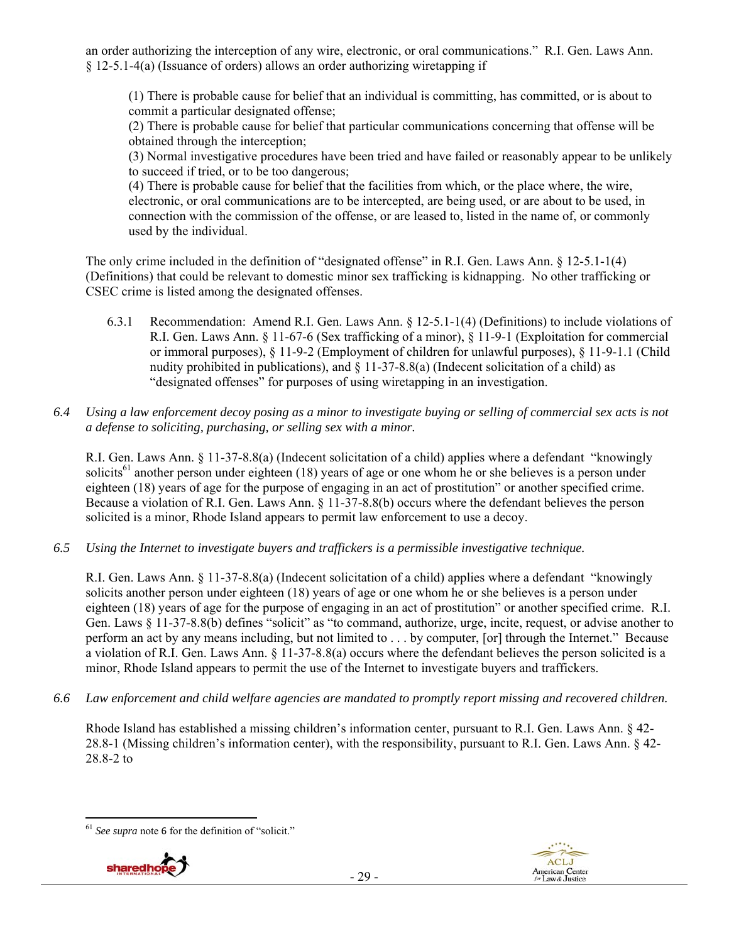an order authorizing the interception of any wire, electronic, or oral communications." R.I. Gen. Laws Ann. § 12-5.1-4(a) (Issuance of orders) allows an order authorizing wiretapping if

(1) There is probable cause for belief that an individual is committing, has committed, or is about to commit a particular designated offense;

(2) There is probable cause for belief that particular communications concerning that offense will be obtained through the interception;

(3) Normal investigative procedures have been tried and have failed or reasonably appear to be unlikely to succeed if tried, or to be too dangerous;

(4) There is probable cause for belief that the facilities from which, or the place where, the wire, electronic, or oral communications are to be intercepted, are being used, or are about to be used, in connection with the commission of the offense, or are leased to, listed in the name of, or commonly used by the individual.

The only crime included in the definition of "designated offense" in R.I. Gen. Laws Ann. § 12-5.1-1(4) (Definitions) that could be relevant to domestic minor sex trafficking is kidnapping. No other trafficking or CSEC crime is listed among the designated offenses.

- 6.3.1 Recommendation: Amend R.I. Gen. Laws Ann. § 12-5.1-1(4) (Definitions) to include violations of R.I. Gen. Laws Ann. § 11-67-6 (Sex trafficking of a minor), § 11-9-1 (Exploitation for commercial or immoral purposes), § 11-9-2 (Employment of children for unlawful purposes), § 11-9-1.1 (Child nudity prohibited in publications), and § 11-37-8.8(a) (Indecent solicitation of a child) as "designated offenses" for purposes of using wiretapping in an investigation.
- *6.4 Using a law enforcement decoy posing as a minor to investigate buying or selling of commercial sex acts is not a defense to soliciting, purchasing, or selling sex with a minor.*

R.I. Gen. Laws Ann. § 11-37-8.8(a) (Indecent solicitation of a child) applies where a defendant "knowingly solicits<sup>61</sup> another person under eighteen (18) years of age or one whom he or she believes is a person under eighteen (18) years of age for the purpose of engaging in an act of prostitution" or another specified crime. Because a violation of R.I. Gen. Laws Ann. § 11-37-8.8(b) occurs where the defendant believes the person solicited is a minor, Rhode Island appears to permit law enforcement to use a decoy.

*6.5 Using the Internet to investigate buyers and traffickers is a permissible investigative technique.* 

R.I. Gen. Laws Ann. § 11-37-8.8(a) (Indecent solicitation of a child) applies where a defendant "knowingly solicits another person under eighteen (18) years of age or one whom he or she believes is a person under eighteen (18) years of age for the purpose of engaging in an act of prostitution" or another specified crime. R.I. Gen. Laws § 11-37-8.8(b) defines "solicit" as "to command, authorize, urge, incite, request, or advise another to perform an act by any means including, but not limited to . . . by computer, [or] through the Internet." Because a violation of R.I. Gen. Laws Ann. § 11-37-8.8(a) occurs where the defendant believes the person solicited is a minor, Rhode Island appears to permit the use of the Internet to investigate buyers and traffickers.

*6.6 Law enforcement and child welfare agencies are mandated to promptly report missing and recovered children.* 

Rhode Island has established a missing children's information center, pursuant to R.I. Gen. Laws Ann. § 42- 28.8-1 (Missing children's information center), with the responsibility, pursuant to R.I. Gen. Laws Ann. § 42- 28.8-2 to

 <sup>61</sup> *See supra* note 6 for the definition of "solicit."